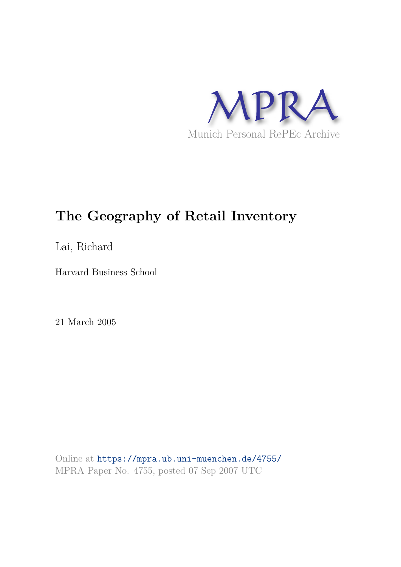

# **The Geography of Retail Inventory**

Lai, Richard

Harvard Business School

21 March 2005

Online at https://mpra.ub.uni-muenchen.de/4755/ MPRA Paper No. 4755, posted 07 Sep 2007 UTC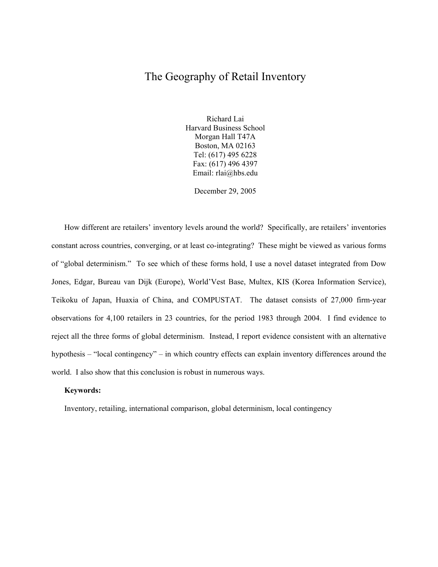# The Geography of Retail Inventory

Richard Lai Harvard Business School Morgan Hall T47A Boston, MA 02163 Tel: (617) 495 6228 Fax: (617) 496 4397 Email: rlai@hbs.edu

December 29, 2005

How different are retailers' inventory levels around the world? Specifically, are retailers' inventories constant across countries, converging, or at least co-integrating? These might be viewed as various forms of "global determinism." To see which of these forms hold, I use a novel dataset integrated from Dow Jones, Edgar, Bureau van Dijk (Europe), World'Vest Base, Multex, KIS (Korea Information Service), Teikoku of Japan, Huaxia of China, and COMPUSTAT. The dataset consists of 27,000 firm-year observations for 4,100 retailers in 23 countries, for the period 1983 through 2004. I find evidence to reject all the three forms of global determinism. Instead, I report evidence consistent with an alternative hypothesis – "local contingency" – in which country effects can explain inventory differences around the world. I also show that this conclusion is robust in numerous ways.

#### **Keywords:**

Inventory, retailing, international comparison, global determinism, local contingency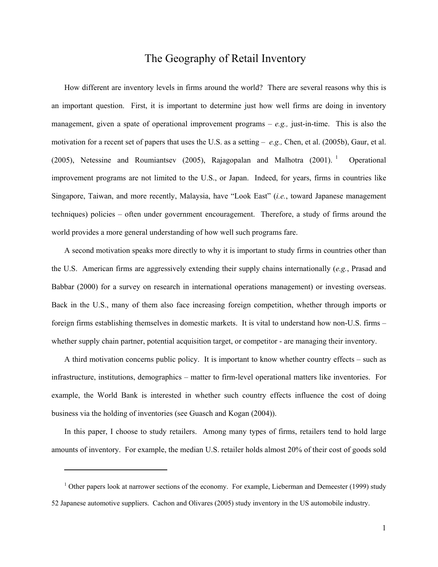# The Geography of Retail Inventory

How different are inventory levels in firms around the world? There are several reasons why this is an important question. First, it is important to determine just how well firms are doing in inventory management, given a spate of operational improvement programs – *e.g.,* just-in-time. This is also the motivation for a recent set of papers that uses the U.S. as a setting – *e.g.,* Chen, et al. (2005b), Gaur, et al. (2005), Netessine and Roumiantsev (2005), Rajagopalan and Malhotra (2001).<sup>1</sup> Operational improvement programs are not limited to the U.S., or Japan. Indeed, for years, firms in countries like Singapore, Taiwan, and more recently, Malaysia, have "Look East" (*i.e.*, toward Japanese management techniques) policies – often under government encouragement. Therefore, a study of firms around the world provides a more general understanding of how well such programs fare.

A second motivation speaks more directly to why it is important to study firms in countries other than the U.S. American firms are aggressively extending their supply chains internationally (*e.g.*, Prasad and Babbar (2000) for a survey on research in international operations management) or investing overseas. Back in the U.S., many of them also face increasing foreign competition, whether through imports or foreign firms establishing themselves in domestic markets. It is vital to understand how non-U.S. firms – whether supply chain partner, potential acquisition target, or competitor - are managing their inventory.

A third motivation concerns public policy. It is important to know whether country effects – such as infrastructure, institutions, demographics – matter to firm-level operational matters like inventories. For example, the World Bank is interested in whether such country effects influence the cost of doing business via the holding of inventories (see Guasch and Kogan (2004)).

In this paper, I choose to study retailers. Among many types of firms, retailers tend to hold large amounts of inventory. For example, the median U.S. retailer holds almost 20% of their cost of goods sold

 $\overline{a}$ 

 $1$  Other papers look at narrower sections of the economy. For example, Lieberman and Demeester (1999) study 52 Japanese automotive suppliers. Cachon and Olivares (2005) study inventory in the US automobile industry.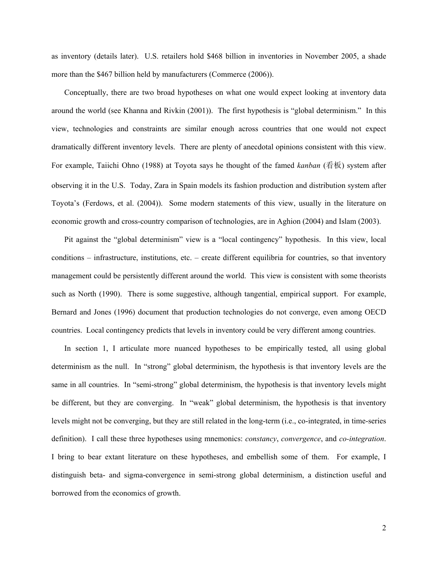as inventory (details later). U.S. retailers hold \$468 billion in inventories in November 2005, a shade more than the \$467 billion held by manufacturers (Commerce (2006)).

Conceptually, there are two broad hypotheses on what one would expect looking at inventory data around the world (see Khanna and Rivkin (2001)). The first hypothesis is "global determinism." In this view, technologies and constraints are similar enough across countries that one would not expect dramatically different inventory levels. There are plenty of anecdotal opinions consistent with this view. For example, Taiichi Ohno (1988) at Toyota says he thought of the famed *kanban* (看板) system after observing it in the U.S. Today, Zara in Spain models its fashion production and distribution system after Toyota's (Ferdows, et al. (2004)). Some modern statements of this view, usually in the literature on economic growth and cross-country comparison of technologies, are in Aghion (2004) and Islam (2003).

Pit against the "global determinism" view is a "local contingency" hypothesis. In this view, local conditions – infrastructure, institutions, etc. – create different equilibria for countries, so that inventory management could be persistently different around the world. This view is consistent with some theorists such as North (1990). There is some suggestive, although tangential, empirical support. For example, Bernard and Jones (1996) document that production technologies do not converge, even among OECD countries. Local contingency predicts that levels in inventory could be very different among countries.

In section 1, I articulate more nuanced hypotheses to be empirically tested, all using global determinism as the null. In "strong" global determinism, the hypothesis is that inventory levels are the same in all countries. In "semi-strong" global determinism, the hypothesis is that inventory levels might be different, but they are converging. In "weak" global determinism, the hypothesis is that inventory levels might not be converging, but they are still related in the long-term (i.e., co-integrated, in time-series definition). I call these three hypotheses using mnemonics: *constancy*, *convergence*, and *co-integration*. I bring to bear extant literature on these hypotheses, and embellish some of them. For example, I distinguish beta- and sigma-convergence in semi-strong global determinism, a distinction useful and borrowed from the economics of growth.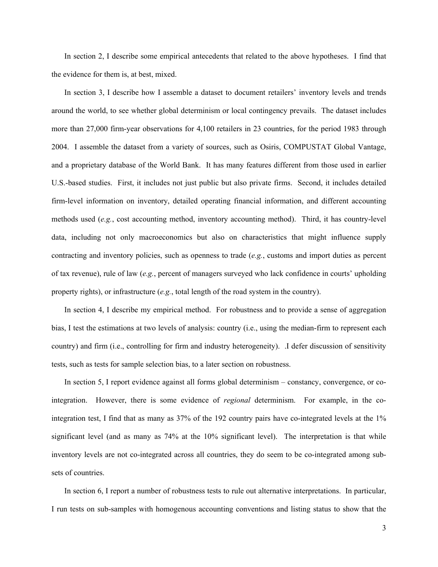In section 2, I describe some empirical antecedents that related to the above hypotheses. I find that the evidence for them is, at best, mixed.

In section 3, I describe how I assemble a dataset to document retailers' inventory levels and trends around the world, to see whether global determinism or local contingency prevails. The dataset includes more than 27,000 firm-year observations for 4,100 retailers in 23 countries, for the period 1983 through 2004. I assemble the dataset from a variety of sources, such as Osiris, COMPUSTAT Global Vantage, and a proprietary database of the World Bank. It has many features different from those used in earlier U.S.-based studies. First, it includes not just public but also private firms. Second, it includes detailed firm-level information on inventory, detailed operating financial information, and different accounting methods used (*e.g.*, cost accounting method, inventory accounting method). Third, it has country-level data, including not only macroeconomics but also on characteristics that might influence supply contracting and inventory policies, such as openness to trade (*e.g.*, customs and import duties as percent of tax revenue), rule of law (*e.g.*, percent of managers surveyed who lack confidence in courts' upholding property rights), or infrastructure (*e.g.*, total length of the road system in the country).

In section 4, I describe my empirical method. For robustness and to provide a sense of aggregation bias, I test the estimations at two levels of analysis: country (i.e., using the median-firm to represent each country) and firm (i.e., controlling for firm and industry heterogeneity). .I defer discussion of sensitivity tests, such as tests for sample selection bias, to a later section on robustness.

In section 5, I report evidence against all forms global determinism – constancy, convergence, or cointegration. However, there is some evidence of *regional* determinism. For example, in the cointegration test, I find that as many as 37% of the 192 country pairs have co-integrated levels at the 1% significant level (and as many as 74% at the 10% significant level). The interpretation is that while inventory levels are not co-integrated across all countries, they do seem to be co-integrated among subsets of countries.

In section 6, I report a number of robustness tests to rule out alternative interpretations. In particular, I run tests on sub-samples with homogenous accounting conventions and listing status to show that the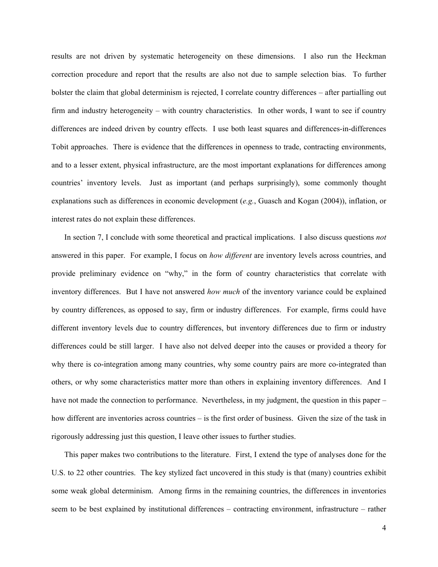results are not driven by systematic heterogeneity on these dimensions. I also run the Heckman correction procedure and report that the results are also not due to sample selection bias. To further bolster the claim that global determinism is rejected, I correlate country differences – after partialling out firm and industry heterogeneity – with country characteristics. In other words, I want to see if country differences are indeed driven by country effects. I use both least squares and differences-in-differences Tobit approaches. There is evidence that the differences in openness to trade, contracting environments, and to a lesser extent, physical infrastructure, are the most important explanations for differences among countries' inventory levels. Just as important (and perhaps surprisingly), some commonly thought explanations such as differences in economic development (*e.g.*, Guasch and Kogan (2004)), inflation, or interest rates do not explain these differences.

In section 7, I conclude with some theoretical and practical implications. I also discuss questions *not* answered in this paper. For example, I focus on *how different* are inventory levels across countries, and provide preliminary evidence on "why," in the form of country characteristics that correlate with inventory differences. But I have not answered *how much* of the inventory variance could be explained by country differences, as opposed to say, firm or industry differences. For example, firms could have different inventory levels due to country differences, but inventory differences due to firm or industry differences could be still larger. I have also not delved deeper into the causes or provided a theory for why there is co-integration among many countries, why some country pairs are more co-integrated than others, or why some characteristics matter more than others in explaining inventory differences. And I have not made the connection to performance. Nevertheless, in my judgment, the question in this paper – how different are inventories across countries – is the first order of business. Given the size of the task in rigorously addressing just this question, I leave other issues to further studies.

This paper makes two contributions to the literature. First, I extend the type of analyses done for the U.S. to 22 other countries. The key stylized fact uncovered in this study is that (many) countries exhibit some weak global determinism. Among firms in the remaining countries, the differences in inventories seem to be best explained by institutional differences – contracting environment, infrastructure – rather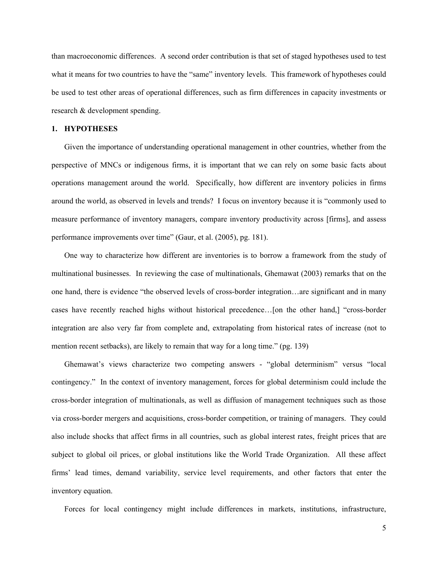than macroeconomic differences. A second order contribution is that set of staged hypotheses used to test what it means for two countries to have the "same" inventory levels. This framework of hypotheses could be used to test other areas of operational differences, such as firm differences in capacity investments or research & development spending.

#### **1. HYPOTHESES**

Given the importance of understanding operational management in other countries, whether from the perspective of MNCs or indigenous firms, it is important that we can rely on some basic facts about operations management around the world. Specifically, how different are inventory policies in firms around the world, as observed in levels and trends? I focus on inventory because it is "commonly used to measure performance of inventory managers, compare inventory productivity across [firms], and assess performance improvements over time" (Gaur, et al. (2005), pg. 181).

One way to characterize how different are inventories is to borrow a framework from the study of multinational businesses. In reviewing the case of multinationals, Ghemawat (2003) remarks that on the one hand, there is evidence "the observed levels of cross-border integration…are significant and in many cases have recently reached highs without historical precedence…[on the other hand,] "cross-border integration are also very far from complete and, extrapolating from historical rates of increase (not to mention recent setbacks), are likely to remain that way for a long time." (pg. 139)

Ghemawat's views characterize two competing answers - "global determinism" versus "local contingency." In the context of inventory management, forces for global determinism could include the cross-border integration of multinationals, as well as diffusion of management techniques such as those via cross-border mergers and acquisitions, cross-border competition, or training of managers. They could also include shocks that affect firms in all countries, such as global interest rates, freight prices that are subject to global oil prices, or global institutions like the World Trade Organization. All these affect firms' lead times, demand variability, service level requirements, and other factors that enter the inventory equation.

Forces for local contingency might include differences in markets, institutions, infrastructure,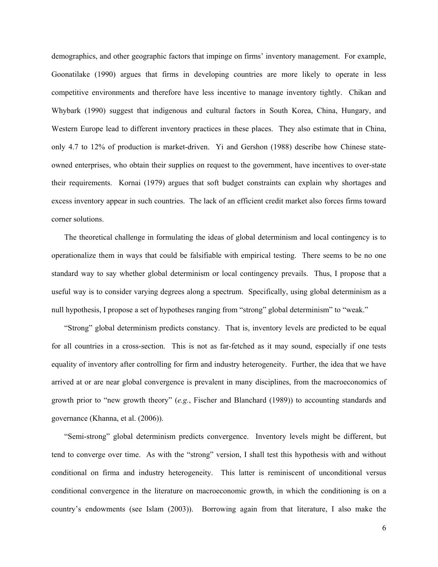demographics, and other geographic factors that impinge on firms' inventory management. For example, Goonatilake (1990) argues that firms in developing countries are more likely to operate in less competitive environments and therefore have less incentive to manage inventory tightly. Chikan and Whybark (1990) suggest that indigenous and cultural factors in South Korea, China, Hungary, and Western Europe lead to different inventory practices in these places. They also estimate that in China, only 4.7 to 12% of production is market-driven. Yi and Gershon (1988) describe how Chinese stateowned enterprises, who obtain their supplies on request to the government, have incentives to over-state their requirements. Kornai (1979) argues that soft budget constraints can explain why shortages and excess inventory appear in such countries. The lack of an efficient credit market also forces firms toward corner solutions.

The theoretical challenge in formulating the ideas of global determinism and local contingency is to operationalize them in ways that could be falsifiable with empirical testing. There seems to be no one standard way to say whether global determinism or local contingency prevails. Thus, I propose that a useful way is to consider varying degrees along a spectrum. Specifically, using global determinism as a null hypothesis, I propose a set of hypotheses ranging from "strong" global determinism" to "weak."

"Strong" global determinism predicts constancy. That is, inventory levels are predicted to be equal for all countries in a cross-section. This is not as far-fetched as it may sound, especially if one tests equality of inventory after controlling for firm and industry heterogeneity. Further, the idea that we have arrived at or are near global convergence is prevalent in many disciplines, from the macroeconomics of growth prior to "new growth theory" (*e.g.*, Fischer and Blanchard (1989)) to accounting standards and governance (Khanna, et al. (2006)).

"Semi-strong" global determinism predicts convergence. Inventory levels might be different, but tend to converge over time. As with the "strong" version, I shall test this hypothesis with and without conditional on firma and industry heterogeneity. This latter is reminiscent of unconditional versus conditional convergence in the literature on macroeconomic growth, in which the conditioning is on a country's endowments (see Islam (2003)). Borrowing again from that literature, I also make the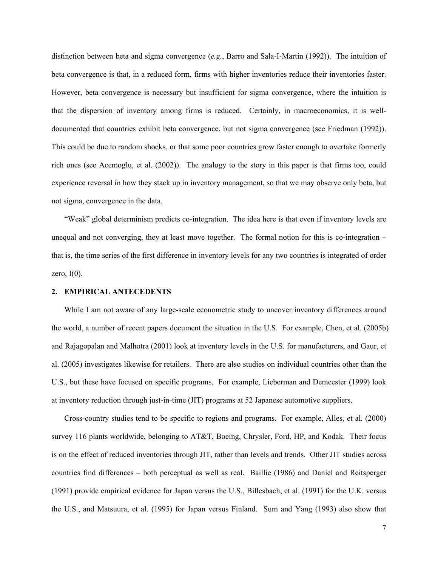distinction between beta and sigma convergence (*e.g.*, Barro and Sala-I-Martin (1992)). The intuition of beta convergence is that, in a reduced form, firms with higher inventories reduce their inventories faster. However, beta convergence is necessary but insufficient for sigma convergence, where the intuition is that the dispersion of inventory among firms is reduced. Certainly, in macroeconomics, it is welldocumented that countries exhibit beta convergence, but not sigma convergence (see Friedman (1992)). This could be due to random shocks, or that some poor countries grow faster enough to overtake formerly rich ones (see Acemoglu, et al. (2002)). The analogy to the story in this paper is that firms too, could experience reversal in how they stack up in inventory management, so that we may observe only beta, but not sigma, convergence in the data.

"Weak" global determinism predicts co-integration. The idea here is that even if inventory levels are unequal and not converging, they at least move together. The formal notion for this is co-integration – that is, the time series of the first difference in inventory levels for any two countries is integrated of order zero,  $I(0)$ .

## **2. EMPIRICAL ANTECEDENTS**

While I am not aware of any large-scale econometric study to uncover inventory differences around the world, a number of recent papers document the situation in the U.S. For example, Chen, et al. (2005b) and Rajagopalan and Malhotra (2001) look at inventory levels in the U.S. for manufacturers, and Gaur, et al. (2005) investigates likewise for retailers. There are also studies on individual countries other than the U.S., but these have focused on specific programs. For example, Lieberman and Demeester (1999) look at inventory reduction through just-in-time (JIT) programs at 52 Japanese automotive suppliers.

Cross-country studies tend to be specific to regions and programs. For example, Alles, et al. (2000) survey 116 plants worldwide, belonging to AT&T, Boeing, Chrysler, Ford, HP, and Kodak. Their focus is on the effect of reduced inventories through JIT, rather than levels and trends. Other JIT studies across countries find differences – both perceptual as well as real. Baillie (1986) and Daniel and Reitsperger (1991) provide empirical evidence for Japan versus the U.S., Billesbach, et al. (1991) for the U.K. versus the U.S., and Matsuura, et al. (1995) for Japan versus Finland. Sum and Yang (1993) also show that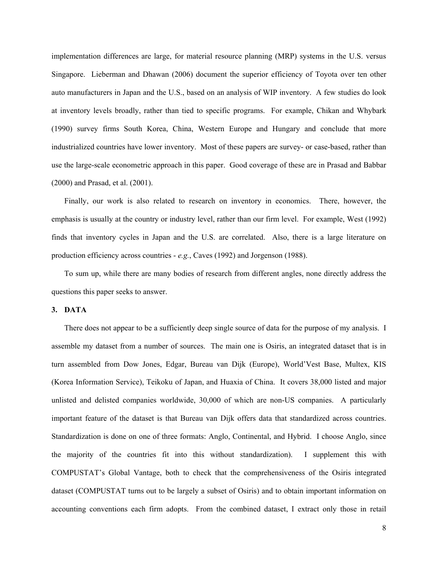implementation differences are large, for material resource planning (MRP) systems in the U.S. versus Singapore. Lieberman and Dhawan (2006) document the superior efficiency of Toyota over ten other auto manufacturers in Japan and the U.S., based on an analysis of WIP inventory. A few studies do look at inventory levels broadly, rather than tied to specific programs. For example, Chikan and Whybark (1990) survey firms South Korea, China, Western Europe and Hungary and conclude that more industrialized countries have lower inventory. Most of these papers are survey- or case-based, rather than use the large-scale econometric approach in this paper. Good coverage of these are in Prasad and Babbar (2000) and Prasad, et al. (2001).

Finally, our work is also related to research on inventory in economics. There, however, the emphasis is usually at the country or industry level, rather than our firm level. For example, West (1992) finds that inventory cycles in Japan and the U.S. are correlated. Also, there is a large literature on production efficiency across countries - *e.g.*, Caves (1992) and Jorgenson (1988).

To sum up, while there are many bodies of research from different angles, none directly address the questions this paper seeks to answer.

#### **3. DATA**

There does not appear to be a sufficiently deep single source of data for the purpose of my analysis. I assemble my dataset from a number of sources. The main one is Osiris, an integrated dataset that is in turn assembled from Dow Jones, Edgar, Bureau van Dijk (Europe), World'Vest Base, Multex, KIS (Korea Information Service), Teikoku of Japan, and Huaxia of China. It covers 38,000 listed and major unlisted and delisted companies worldwide, 30,000 of which are non-US companies. A particularly important feature of the dataset is that Bureau van Dijk offers data that standardized across countries. Standardization is done on one of three formats: Anglo, Continental, and Hybrid. I choose Anglo, since the majority of the countries fit into this without standardization). I supplement this with COMPUSTAT's Global Vantage, both to check that the comprehensiveness of the Osiris integrated dataset (COMPUSTAT turns out to be largely a subset of Osiris) and to obtain important information on accounting conventions each firm adopts. From the combined dataset, I extract only those in retail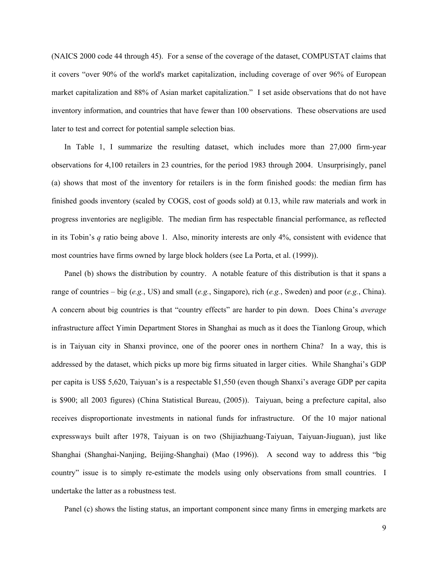(NAICS 2000 code 44 through 45). For a sense of the coverage of the dataset, COMPUSTAT claims that it covers "over 90% of the world's market capitalization, including coverage of over 96% of European market capitalization and 88% of Asian market capitalization." I set aside observations that do not have inventory information, and countries that have fewer than 100 observations. These observations are used later to test and correct for potential sample selection bias.

In Table 1, I summarize the resulting dataset, which includes more than 27,000 firm-year observations for 4,100 retailers in 23 countries, for the period 1983 through 2004. Unsurprisingly, panel (a) shows that most of the inventory for retailers is in the form finished goods: the median firm has finished goods inventory (scaled by COGS, cost of goods sold) at 0.13, while raw materials and work in progress inventories are negligible. The median firm has respectable financial performance, as reflected in its Tobin's *q* ratio being above 1. Also, minority interests are only 4%, consistent with evidence that most countries have firms owned by large block holders (see La Porta, et al. (1999)).

Panel (b) shows the distribution by country. A notable feature of this distribution is that it spans a range of countries – big (*e.g.*, US) and small (*e.g.*, Singapore), rich (*e.g.*, Sweden) and poor (*e.g.*, China). A concern about big countries is that "country effects" are harder to pin down. Does China's *average* infrastructure affect Yimin Department Stores in Shanghai as much as it does the Tianlong Group, which is in Taiyuan city in Shanxi province, one of the poorer ones in northern China? In a way, this is addressed by the dataset, which picks up more big firms situated in larger cities. While Shanghai's GDP per capita is US\$ 5,620, Taiyuan's is a respectable \$1,550 (even though Shanxi's average GDP per capita is \$900; all 2003 figures) (China Statistical Bureau, (2005)). Taiyuan, being a prefecture capital, also receives disproportionate investments in national funds for infrastructure. Of the 10 major national expressways built after 1978, Taiyuan is on two (Shijiazhuang-Taiyuan, Taiyuan-Jiuguan), just like Shanghai (Shanghai-Nanjing, Beijing-Shanghai) (Mao (1996)). A second way to address this "big country" issue is to simply re-estimate the models using only observations from small countries. I undertake the latter as a robustness test.

Panel (c) shows the listing status, an important component since many firms in emerging markets are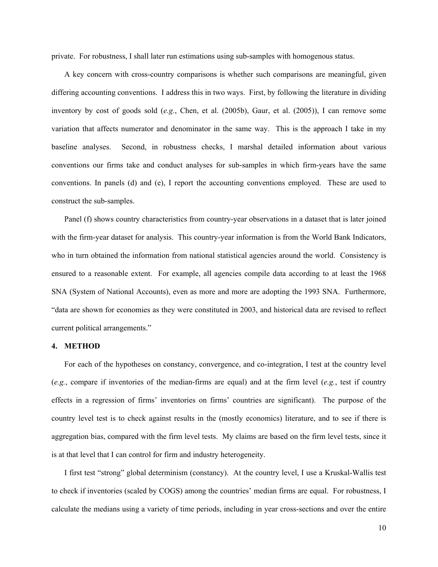private. For robustness, I shall later run estimations using sub-samples with homogenous status.

A key concern with cross-country comparisons is whether such comparisons are meaningful, given differing accounting conventions. I address this in two ways. First, by following the literature in dividing inventory by cost of goods sold (*e.g.*, Chen, et al. (2005b), Gaur, et al. (2005)), I can remove some variation that affects numerator and denominator in the same way. This is the approach I take in my baseline analyses. Second, in robustness checks, I marshal detailed information about various conventions our firms take and conduct analyses for sub-samples in which firm-years have the same conventions. In panels (d) and (e), I report the accounting conventions employed. These are used to construct the sub-samples.

Panel (f) shows country characteristics from country-year observations in a dataset that is later joined with the firm-year dataset for analysis. This country-year information is from the World Bank Indicators, who in turn obtained the information from national statistical agencies around the world. Consistency is ensured to a reasonable extent. For example, all agencies compile data according to at least the 1968 SNA (System of National Accounts), even as more and more are adopting the 1993 SNA. Furthermore, "data are shown for economies as they were constituted in 2003, and historical data are revised to reflect current political arrangements."

#### **4. METHOD**

For each of the hypotheses on constancy, convergence, and co-integration, I test at the country level (*e.g.*, compare if inventories of the median-firms are equal) and at the firm level (*e.g.*, test if country effects in a regression of firms' inventories on firms' countries are significant). The purpose of the country level test is to check against results in the (mostly economics) literature, and to see if there is aggregation bias, compared with the firm level tests. My claims are based on the firm level tests, since it is at that level that I can control for firm and industry heterogeneity.

I first test "strong" global determinism (constancy). At the country level, I use a Kruskal-Wallis test to check if inventories (scaled by COGS) among the countries' median firms are equal. For robustness, I calculate the medians using a variety of time periods, including in year cross-sections and over the entire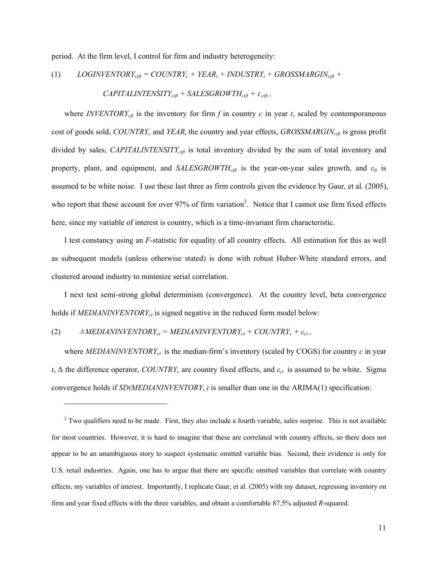period. At the firm level, I control for firm and industry heterogeneity:

(1) 
$$
LOGINVENTORY_{\text{cift}} = COUNTRY_c + YEAR_t + INDUSTRY_i + GROSSMARGIN_{\text{cift}} +
$$

 $CAPITALINTENSITY_{\text{cift}} + SALESGROWTH_{\text{cift}} + \varepsilon_{\text{cift}}$ ,

where *INVENTORY*<sub>*cft*</sub> is the inventory for firm  $f$  in country  $c$  in year  $t$ , scaled by contemporaneous cost of goods sold, *COUNTRYc* and *YEAR<sup>t</sup>* the country and year effects, *GROSSMARGINcift* is gross profit divided by sales, *CAPITALINTENSITY<sub>cift</sub>* is total inventory divided by the sum of total inventory and property, plant, and equipment, and *SALESGROWTHcift* is the year-on-year sales growth, and *εft* is assumed to be white noise. I use these last three as firm controls given the evidence by Gaur, et al. (2005), who report that these account for over 97% of firm variation<sup>2</sup>. Notice that I cannot use firm fixed effects here, since my variable of interest is country, which is a time-invariant firm characteristic.

I test constancy using an *F-*statistic for equality of all country effects. All estimation for this as well as subsequent models (unless otherwise stated) is done with robust Huber-White standard errors, and clustered around industry to minimize serial correlation.

I next test semi-strong global determinism (convergence). At the country level, beta convergence holds if *MEDIANINVENTORYct* is signed negative in the reduced form model below:

(2)  $\Delta \text{MEDIANINVENTORY}_{ct} = \text{MEDIANINVENTORY}_{ct} + \text{COUNTRY}_{ct} + \varepsilon_{ct}$ ,

 $\overline{a}$ 

where *MEDIANINVENTORYct* is the median-firm's inventory (scaled by COGS) for country *c* in year *t*, ∆ the difference operator, *COUNTRYc* are country fixed effects, and *εct* is assumed to be white. Sigma convergence holds if *SD(MEDIANINVENTORY<sup>t</sup> )* is smaller than one in the ARIMA(1) specification:

 $2^2$  Two qualifiers need to be made. First, they also include a fourth variable, sales surprise. This is not available for most countries. However, it is hard to imagine that these are correlated with country effects, so there does not appear to be an unambiguous story to suspect systematic omitted variable bias. Second, their evidence is only for U.S. retail industries. Again, one has to argue that there are specific omitted variables that correlate with country effects, my variables of interest. Importantly, I replicate Gaur, et al. (2005) with my dataset, regressing inventory on firm and year fixed effects with the three variables, and obtain a comfortable 87.5% adjusted *R*-squared.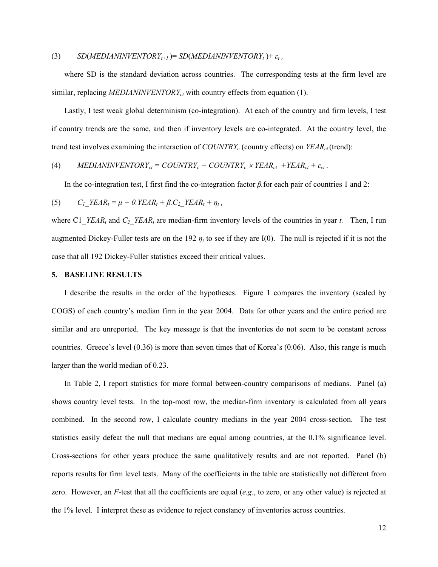#### (3)  $SD(MEDIANINVENTORY<sub>t+1</sub>) = SD(MEDIANINVENTORY<sub>t</sub>) + \varepsilon_t$ ,

where SD is the standard deviation across countries. The corresponding tests at the firm level are similar, replacing *MEDIANINVENTORYct* with country effects from equation (1).

Lastly, I test weak global determinism (co-integration). At each of the country and firm levels, I test if country trends are the same, and then if inventory levels are co-integrated. At the country level, the trend test involves examining the interaction of *COUNTRYc* (country effects) on *YEARct*(trend):

(4) *MEDIANINVENTORY<sub>ct</sub> = COUNTRY<sub>c</sub> + COUNTRY<sub>c</sub> × YEAR<sub>ct</sub> + YEAR<sub>ct</sub> + 
$$
\varepsilon_{ct}
$$
.*

In the co-integration test, I first find the co-integration factor *β.*for each pair of countries 1 and 2:

$$
(5) \qquad C_{1\_}YEAR_t = \mu + \theta.YEAR_t + \beta.C_{2\_}YEAR_t + \eta_t,
$$

where C1\_*YEAR*<sup>*t*</sup> and *C*<sub>2</sub>\_*YEAR*<sup>*t*</sup> are median-firm inventory levels of the countries in year *t*. Then, I run augmented Dickey-Fuller tests are on the 192  $\eta_t$  to see if they are I(0). The null is rejected if it is not the case that all 192 Dickey-Fuller statistics exceed their critical values.

#### **5. BASELINE RESULTS**

I describe the results in the order of the hypotheses. Figure 1 compares the inventory (scaled by COGS) of each country's median firm in the year 2004. Data for other years and the entire period are similar and are unreported. The key message is that the inventories do not seem to be constant across countries. Greece's level (0.36) is more than seven times that of Korea's (0.06). Also, this range is much larger than the world median of 0.23.

In Table 2, I report statistics for more formal between-country comparisons of medians. Panel (a) shows country level tests. In the top-most row, the median-firm inventory is calculated from all years combined. In the second row, I calculate country medians in the year 2004 cross-section. The test statistics easily defeat the null that medians are equal among countries, at the 0.1% significance level. Cross-sections for other years produce the same qualitatively results and are not reported. Panel (b) reports results for firm level tests. Many of the coefficients in the table are statistically not different from zero. However, an *F*-test that all the coefficients are equal (*e.g.*, to zero, or any other value) is rejected at the 1% level. I interpret these as evidence to reject constancy of inventories across countries.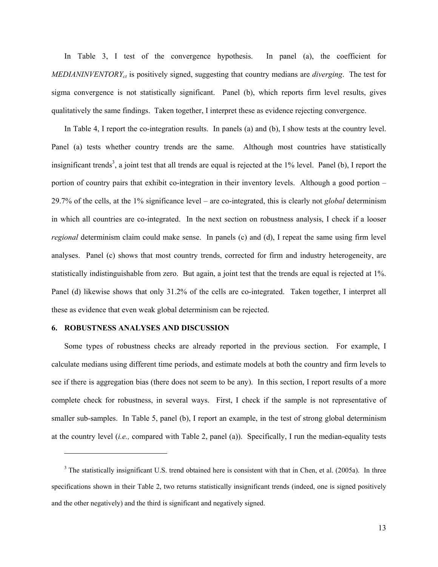In Table 3, I test of the convergence hypothesis. In panel (a), the coefficient for *MEDIANINVENTORYct* is positively signed, suggesting that country medians are *diverging*. The test for sigma convergence is not statistically significant. Panel (b), which reports firm level results, gives qualitatively the same findings. Taken together, I interpret these as evidence rejecting convergence.

In Table 4, I report the co-integration results. In panels (a) and (b), I show tests at the country level. Panel (a) tests whether country trends are the same. Although most countries have statistically insignificant trends<sup>3</sup>, a joint test that all trends are equal is rejected at the  $1\%$  level. Panel (b), I report the portion of country pairs that exhibit co-integration in their inventory levels. Although a good portion – 29.7% of the cells, at the 1% significance level – are co-integrated, this is clearly not *global* determinism in which all countries are co-integrated. In the next section on robustness analysis, I check if a looser *regional* determinism claim could make sense. In panels (c) and (d), I repeat the same using firm level analyses. Panel (c) shows that most country trends, corrected for firm and industry heterogeneity, are statistically indistinguishable from zero. But again, a joint test that the trends are equal is rejected at 1%. Panel (d) likewise shows that only 31.2% of the cells are co-integrated. Taken together, I interpret all these as evidence that even weak global determinism can be rejected.

#### **6. ROBUSTNESS ANALYSES AND DISCUSSION**

 $\overline{a}$ 

Some types of robustness checks are already reported in the previous section. For example, I calculate medians using different time periods, and estimate models at both the country and firm levels to see if there is aggregation bias (there does not seem to be any). In this section, I report results of a more complete check for robustness, in several ways. First, I check if the sample is not representative of smaller sub-samples. In Table 5, panel (b), I report an example, in the test of strong global determinism at the country level (*i.e.,* compared with Table 2, panel (a)). Specifically, I run the median-equality tests

 $3$  The statistically insignificant U.S. trend obtained here is consistent with that in Chen, et al. (2005a). In three specifications shown in their Table 2, two returns statistically insignificant trends (indeed, one is signed positively and the other negatively) and the third is significant and negatively signed.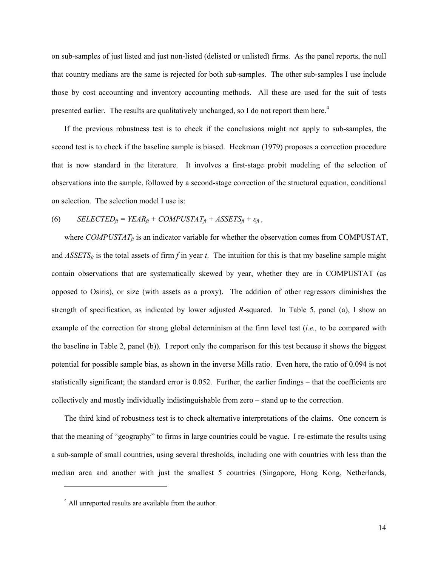on sub-samples of just listed and just non-listed (delisted or unlisted) firms. As the panel reports, the null that country medians are the same is rejected for both sub-samples. The other sub-samples I use include those by cost accounting and inventory accounting methods. All these are used for the suit of tests presented earlier. The results are qualitatively unchanged, so I do not report them here.<sup>4</sup>

If the previous robustness test is to check if the conclusions might not apply to sub-samples, the second test is to check if the baseline sample is biased. Heckman (1979) proposes a correction procedure that is now standard in the literature. It involves a first-stage probit modeling of the selection of observations into the sample, followed by a second-stage correction of the structural equation, conditional on selection. The selection model I use is:

(6) 
$$
SELECTED_{ft} = YEAR_{ft} + COMPUSTAT_{ft} + ASSETS_{ft} + \varepsilon_{ft},
$$

where  $COMPUSTAT<sub>f</sub>$  is an indicator variable for whether the observation comes from COMPUSTAT, and  $ASSETS<sub>f</sub>$  is the total assets of firm *f* in year *t*. The intuition for this is that my baseline sample might contain observations that are systematically skewed by year, whether they are in COMPUSTAT (as opposed to Osiris), or size (with assets as a proxy). The addition of other regressors diminishes the strength of specification, as indicated by lower adjusted *R*-squared. In Table 5, panel (a), I show an example of the correction for strong global determinism at the firm level test (*i.e.,* to be compared with the baseline in Table 2, panel (b)). I report only the comparison for this test because it shows the biggest potential for possible sample bias, as shown in the inverse Mills ratio. Even here, the ratio of 0.094 is not statistically significant; the standard error is 0.052. Further, the earlier findings – that the coefficients are collectively and mostly individually indistinguishable from zero – stand up to the correction.

The third kind of robustness test is to check alternative interpretations of the claims. One concern is that the meaning of "geography" to firms in large countries could be vague. I re-estimate the results using a sub-sample of small countries, using several thresholds, including one with countries with less than the median area and another with just the smallest 5 countries (Singapore, Hong Kong, Netherlands,

 $\overline{a}$ 

<sup>&</sup>lt;sup>4</sup> All unreported results are available from the author.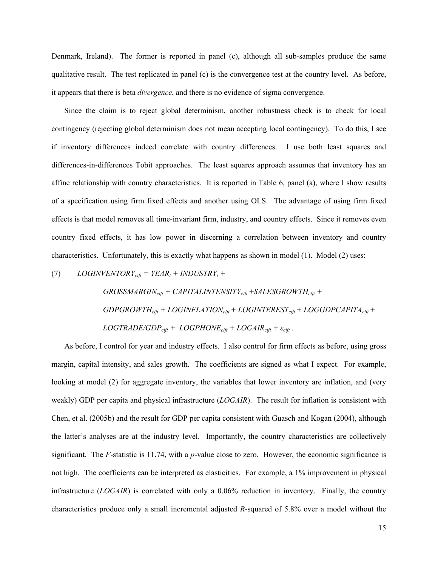Denmark, Ireland). The former is reported in panel (c), although all sub-samples produce the same qualitative result. The test replicated in panel (c) is the convergence test at the country level. As before, it appears that there is beta *divergence*, and there is no evidence of sigma convergence.

Since the claim is to reject global determinism, another robustness check is to check for local contingency (rejecting global determinism does not mean accepting local contingency). To do this, I see if inventory differences indeed correlate with country differences. I use both least squares and differences-in-differences Tobit approaches. The least squares approach assumes that inventory has an affine relationship with country characteristics. It is reported in Table 6, panel (a), where I show results of a specification using firm fixed effects and another using OLS. The advantage of using firm fixed effects is that model removes all time-invariant firm, industry, and country effects. Since it removes even country fixed effects, it has low power in discerning a correlation between inventory and country characteristics. Unfortunately, this is exactly what happens as shown in model (1). Model (2) uses:

(7)  $LOGINVENTORY_{\text{cift}} = YEAR_t + INDUSTRY_i +$ 

 *GROSSMARGINcift + CAPITALINTENSITYcift* +*SALESGROWTHcift + GDPGROWTHcift + LOGINFLATIONcift + LOGINTERESTcift + LOGGDPCAPITAcift +*   $LOGTRADE/GDP_{\text{cift}} + LOGPHONE_{\text{cift}} + LOGCHONE_{\text{cift}} + \varepsilon_{\text{cift}}$ .

As before, I control for year and industry effects. I also control for firm effects as before, using gross margin, capital intensity, and sales growth. The coefficients are signed as what I expect. For example, looking at model (2) for aggregate inventory, the variables that lower inventory are inflation, and (very weakly) GDP per capita and physical infrastructure (*LOGAIR*). The result for inflation is consistent with Chen, et al. (2005b) and the result for GDP per capita consistent with Guasch and Kogan (2004), although the latter's analyses are at the industry level. Importantly, the country characteristics are collectively significant. The *F*-statistic is 11.74, with a *p*-value close to zero. However, the economic significance is not high. The coefficients can be interpreted as elasticities. For example, a 1% improvement in physical infrastructure (*LOGAIR*) is correlated with only a 0.06% reduction in inventory. Finally, the country characteristics produce only a small incremental adjusted *R*-squared of 5.8% over a model without the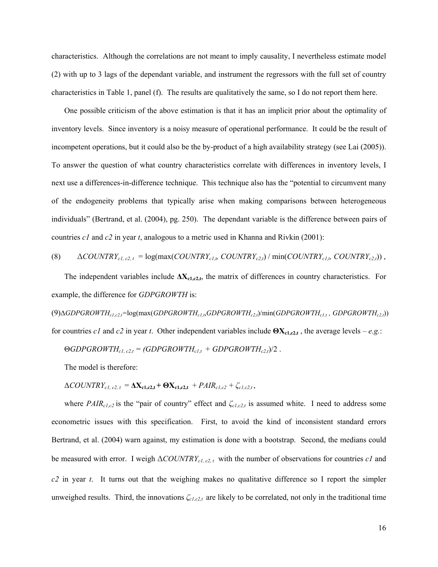characteristics. Although the correlations are not meant to imply causality, I nevertheless estimate model (2) with up to 3 lags of the dependant variable, and instrument the regressors with the full set of country characteristics in Table 1, panel (f). The results are qualitatively the same, so I do not report them here.

One possible criticism of the above estimation is that it has an implicit prior about the optimality of inventory levels. Since inventory is a noisy measure of operational performance. It could be the result of incompetent operations, but it could also be the by-product of a high availability strategy (see Lai (2005)). To answer the question of what country characteristics correlate with differences in inventory levels, I next use a differences-in-difference technique. This technique also has the "potential to circumvent many of the endogeneity problems that typically arise when making comparisons between heterogeneous individuals" (Bertrand, et al. (2004), pg. 250). The dependant variable is the difference between pairs of countries *c1* and *c2* in year *t*, analogous to a metric used in Khanna and Rivkin (2001):

(8) 
$$
\Delta COUNTRY_{cl, c2, t} = \log(\max(COUNTRY_{cl,b} COUNTRY_{c2, t}) / \min(COUNTRY_{cl,b} COUNTRY_{c2, t}),
$$

The independent variables include **∆Xc1,c2,t**, the matrix of differences in country characteristics. For example, the difference for *GDPGROWTH* is:

(9)∆*GDPGROWTHc1,c2,t=*log(max(*GDPGROWTHc1,t*,*GDPGROWTHc2,t*)/min(*GDPGROWTHc1,t , GDPGROWTHc2,t*)) for countries *c1* and *c2* in year *t*. Other independent variables include **ΘXc1,c2,t** , the average levels – *e.g.*:

$$
\Theta GDPGROWTH_{cl, c2,t} = (GDPGROWTH_{cl,t} + GDPGROWTH_{c2,t})/2.
$$

The model is therefore:

$$
\Delta COUNTRY_{cl, c2, t} = \Delta \mathbf{X}_{c1, c2, t} + \mathbf{\Theta} \mathbf{X}_{c1, c2, t} + PAIR_{cl, c2} + \zeta_{cl, c2, t},
$$

where *PAIRc1,c2* is the "pair of country" effect and *ζc1,c2,t* is assumed white. I need to address some econometric issues with this specification. First, to avoid the kind of inconsistent standard errors Bertrand, et al. (2004) warn against, my estimation is done with a bootstrap. Second, the medians could be measured with error. I weigh Δ*COUNTRYc1, c2, t* with the number of observations for countries *c1* and *c2* in year *t*. It turns out that the weighing makes no qualitative difference so I report the simpler unweighed results. Third, the innovations *ζc1,c2,t* are likely to be correlated, not only in the traditional time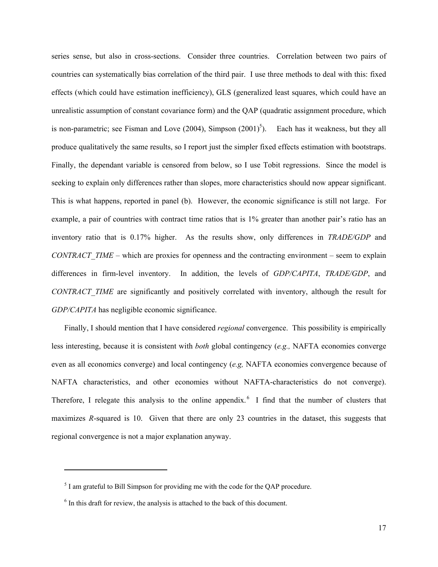series sense, but also in cross-sections. Consider three countries. Correlation between two pairs of countries can systematically bias correlation of the third pair. I use three methods to deal with this: fixed effects (which could have estimation inefficiency), GLS (generalized least squares, which could have an unrealistic assumption of constant covariance form) and the QAP (quadratic assignment procedure, which is non-parametric; see Fisman and Love  $(2004)$ , Simpson  $(2001)^5$ ). Each has it weakness, but they all produce qualitatively the same results, so I report just the simpler fixed effects estimation with bootstraps. Finally, the dependant variable is censored from below, so I use Tobit regressions. Since the model is seeking to explain only differences rather than slopes, more characteristics should now appear significant. This is what happens, reported in panel (b). However, the economic significance is still not large. For example, a pair of countries with contract time ratios that is 1% greater than another pair's ratio has an inventory ratio that is 0.17% higher. As the results show, only differences in *TRADE/GDP* and *CONTRACT\_TIME* – which are proxies for openness and the contracting environment – seem to explain differences in firm-level inventory. In addition, the levels of *GDP/CAPITA*, *TRADE/GDP*, and *CONTRACT\_TIME* are significantly and positively correlated with inventory, although the result for *GDP/CAPITA* has negligible economic significance.

Finally, I should mention that I have considered *regional* convergence. This possibility is empirically less interesting, because it is consistent with *both* global contingency (*e.g.,* NAFTA economies converge even as all economics converge) and local contingency (*e.g,* NAFTA economies convergence because of NAFTA characteristics, and other economies without NAFTA-characteristics do not converge). Therefore, I relegate this analysis to the online appendix.<sup>6</sup> I find that the number of clusters that maximizes *R*-squared is 10. Given that there are only 23 countries in the dataset, this suggests that regional convergence is not a major explanation anyway.

 $\overline{a}$ 

 $<sup>5</sup>$  I am grateful to Bill Simpson for providing me with the code for the QAP procedure.</sup>

<sup>&</sup>lt;sup>6</sup> In this draft for review, the analysis is attached to the back of this document.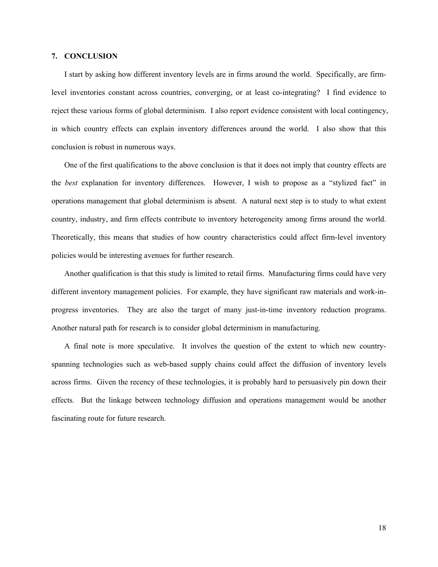## **7. CONCLUSION**

I start by asking how different inventory levels are in firms around the world. Specifically, are firmlevel inventories constant across countries, converging, or at least co-integrating? I find evidence to reject these various forms of global determinism. I also report evidence consistent with local contingency, in which country effects can explain inventory differences around the world. I also show that this conclusion is robust in numerous ways.

One of the first qualifications to the above conclusion is that it does not imply that country effects are the *best* explanation for inventory differences. However, I wish to propose as a "stylized fact" in operations management that global determinism is absent. A natural next step is to study to what extent country, industry, and firm effects contribute to inventory heterogeneity among firms around the world. Theoretically, this means that studies of how country characteristics could affect firm-level inventory policies would be interesting avenues for further research.

Another qualification is that this study is limited to retail firms. Manufacturing firms could have very different inventory management policies. For example, they have significant raw materials and work-inprogress inventories. They are also the target of many just-in-time inventory reduction programs. Another natural path for research is to consider global determinism in manufacturing.

A final note is more speculative. It involves the question of the extent to which new countryspanning technologies such as web-based supply chains could affect the diffusion of inventory levels across firms. Given the recency of these technologies, it is probably hard to persuasively pin down their effects. But the linkage between technology diffusion and operations management would be another fascinating route for future research.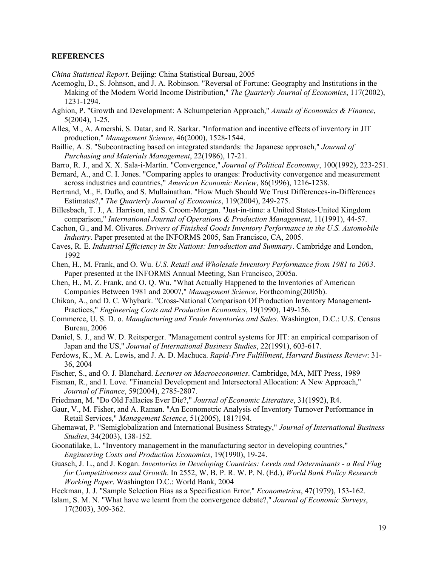#### **REFERENCES**

*China Statistical Report*. Beijing: China Statistical Bureau, 2005

- Acemoglu, D., S. Johnson, and J. A. Robinson. "Reversal of Fortune: Geography and Institutions in the Making of the Modern World Income Distribution," *The Quarterly Journal of Economics*, 117(2002), 1231-1294.
- Aghion, P. "Growth and Development: A Schumpeterian Approach," *Annals of Economics & Finance*, 5(2004), 1-25.
- Alles, M., A. Amershi, S. Datar, and R. Sarkar. "Information and incentive effects of inventory in JIT production," *Management Science*, 46(2000), 1528-1544.
- Baillie, A. S. "Subcontracting based on integrated standards: the Japanese approach," *Journal of Purchasing and Materials Management*, 22(1986), 17-21.
- Barro, R. J., and X. X. Sala-i-Martin. "Convergence," *Journal of Political Econonmy*, 100(1992), 223-251.
- Bernard, A., and C. I. Jones. "Comparing apples to oranges: Productivity convergence and measurement across industries and countries," *American Economic Review*, 86(1996), 1216-1238.
- Bertrand, M., E. Duflo, and S. Mullainathan. "How Much Should We Trust Differences-in-Differences Estimates?," *The Quarterly Journal of Economics*, 119(2004), 249-275.
- Billesbach, T. J., A. Harrison, and S. Croom-Morgan. "Just-in-time: a United States-United Kingdom comparison," *International Journal of Operations & Production Management*, 11(1991), 44-57.
- Cachon, G., and M. Olivares. *Drivers of Finished Goods Inventory Performance in the U.S. Automobile Industry*. Paper presented at the INFORMS 2005, San Francisco, CA, 2005.
- Caves, R. E. *Industrial Efficiency in Six Nations: Introduction and Summary*. Cambridge and London, 1992
- Chen, H., M. Frank, and O. Wu. *U.S. Retail and Wholesale Inventory Performance from 1981 to 2003*. Paper presented at the INFORMS Annual Meeting, San Francisco, 2005a.
- Chen, H., M. Z. Frank, and O. Q. Wu. "What Actually Happened to the Inventories of American Companies Between 1981 and 2000?," *Management Science*, Forthcoming(2005b).
- Chikan, A., and D. C. Whybark. "Cross-National Comparison Of Production Inventory Management-Practices," *Engineering Costs and Production Economics*, 19(1990), 149-156.
- Commerce, U. S. D. o. *Manufacturing and Trade Inventories and Sales*. Washington, D.C.: U.S. Census Bureau, 2006
- Daniel, S. J., and W. D. Reitsperger. "Management control systems for JIT: an empirical comparison of Japan and the US," *Journal of International Business Studies*, 22(1991), 603-617.
- Ferdows, K., M. A. Lewis, and J. A. D. Machuca. *Rapid-Fire Fulfillment*, *Harvard Business Review*: 31- 36, 2004
- Fischer, S., and O. J. Blanchard. *Lectures on Macroeconomics*. Cambridge, MA, MIT Press, 1989
- Fisman, R., and I. Love. "Financial Development and Intersectoral Allocation: A New Approach," *Journal of Finance*, 59(2004), 2785-2807.
- Friedman, M. "Do Old Fallacies Ever Die?," *Journal of Economic Literature*, 31(1992), R4.
- Gaur, V., M. Fisher, and A. Raman. "An Econometric Analysis of Inventory Turnover Performance in Retail Services," *Management Science*, 51(2005), 181?194.
- Ghemawat, P. "Semiglobalization and International Business Strategy," *Journal of International Business Studies*, 34(2003), 138-152.
- Goonatilake, L. "Inventory management in the manufacturing sector in developing countries," *Engineering Costs and Production Economics*, 19(1990), 19-24.
- Guasch, J. L., and J. Kogan. *Inventories in Developing Countries: Levels and Determinants a Red Flag for Competitiveness and Growth*. In 2552, W. B. P. R. W. P. N. (Ed.), *World Bank Policy Research Working Paper*. Washington D.C.: World Bank, 2004
- Heckman, J. J. "Sample Selection Bias as a Specification Error," *Econometrica*, 47(1979), 153-162.
- Islam, S. M. N. "What have we learnt from the convergence debate?," *Journal of Economic Surveys*, 17(2003), 309-362.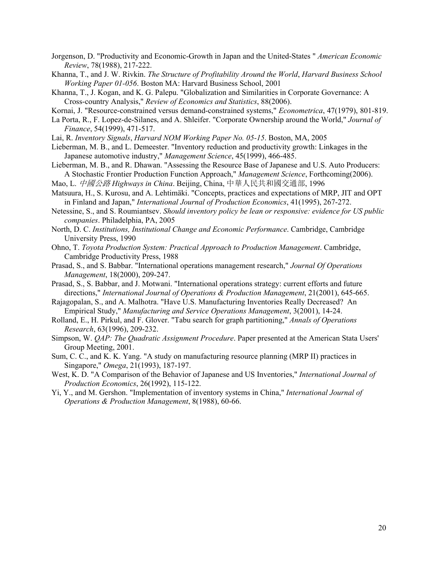- Jorgenson, D. "Productivity and Economic-Growth in Japan and the United-States " *American Economic Review*, 78(1988), 217-222.
- Khanna, T., and J. W. Rivkin. *The Structure of Profitability Around the World*, *Harvard Business School Working Paper 01-056*. Boston MA: Harvard Business School, 2001
- Khanna, T., J. Kogan, and K. G. Palepu. "Globalization and Similarities in Corporate Governance: A Cross-country Analysis," *Review of Economics and Statistics*, 88(2006).
- Kornai, J. "Resource-constrained versus demand-constrained systems," *Econometrica*, 47(1979), 801-819.
- La Porta, R., F. Lopez-de-Silanes, and A. Shleifer. "Corporate Ownership around the World," *Journal of Finance*, 54(1999), 471-517.
- Lai, R. *Inventory Signals*, *Harvard NOM Working Paper No. 05-15*. Boston, MA, 2005
- Lieberman, M. B., and L. Demeester. "Inventory reduction and productivity growth: Linkages in the Japanese automotive industry," *Management Science*, 45(1999), 466-485.
- Lieberman, M. B., and R. Dhawan. "Assessing the Resource Base of Japanese and U.S. Auto Producers: A Stochastic Frontier Production Function Approach," *Management Science*, Forthcoming(2006).
- Mao, L. 中國公路 *Highways in China*. Beijing, China, 中華人民共和國交通部, 1996
- Matsuura, H., S. Kurosu, and A. Lehtimäki. "Concepts, practices and expectations of MRP, JIT and OPT in Finland and Japan," *International Journal of Production Economics*, 41(1995), 267-272.
- Netessine, S., and S. Roumiantsev. *Should inventory policy be lean or responsive: evidence for US public companies*. Philadelphia, PA, 2005
- North, D. C. *Institutions, Institutional Change and Economic Performance*. Cambridge, Cambridge University Press, 1990
- Ohno, T. *Toyota Production System: Practical Approach to Production Management*. Cambridge, Cambridge Productivity Press, 1988
- Prasad, S., and S. Babbar. "International operations management research," *Journal Of Operations Management*, 18(2000), 209-247.
- Prasad, S., S. Babbar, and J. Motwani. "International operations strategy: current efforts and future directions," *International Journal of Operations & Production Management*, 21(2001), 645-665.
- Rajagopalan, S., and A. Malhotra. "Have U.S. Manufacturing Inventories Really Decreased? An Empirical Study," *Manufacturing and Service Operations Management*, 3(2001), 14-24.
- Rolland, E., H. Pirkul, and F. Glover. "Tabu search for graph partitioning," *Annals of Operations Research*, 63(1996), 209-232.
- Simpson, W. *QAP: The Quadratic Assignment Procedure*. Paper presented at the American Stata Users' Group Meeting, 2001.
- Sum, C. C., and K. K. Yang. "A study on manufacturing resource planning (MRP II) practices in Singapore," *Omega*, 21(1993), 187-197.
- West, K. D. "A Comparison of the Behavior of Japanese and US Inventories," *International Journal of Production Economics*, 26(1992), 115-122.
- Yi, Y., and M. Gershon. "Implementation of inventory systems in China," *International Journal of Operations & Production Management*, 8(1988), 60-66.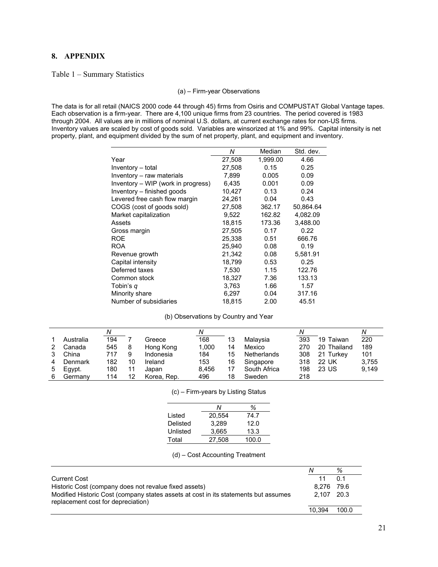# **8. APPENDIX**

#### Table 1 – Summary Statistics

#### (a) – Firm-year Observations

The data is for all retail (NAICS 2000 code 44 through 45) firms from Osiris and COMPUSTAT Global Vantage tapes. Each observation is a firm-year. There are 4,100 unique firms from 23 countries. The period covered is 1983 through 2004. All values are in millions of nominal U.S. dollars, at current exchange rates for non-US firms. Inventory values are scaled by cost of goods sold. Variables are winsorized at 1% and 99%. Capital intensity is net property, plant, and equipment divided by the sum of net property, plant, and equipment and inventory.

|                                    | Ν      | Median   | Std. dev. |
|------------------------------------|--------|----------|-----------|
| Year                               | 27,508 | 1,999.00 | 4.66      |
| Inventory - total                  | 27,508 | 0.15     | 0.25      |
| Inventory - raw materials          | 7,899  | 0.005    | 0.09      |
| Inventory – WIP (work in progress) | 6.435  | 0.001    | 0.09      |
| Inventory - finished goods         | 10,427 | 0.13     | 0.24      |
| Levered free cash flow margin      | 24,261 | 0.04     | 0.43      |
| COGS (cost of goods sold)          | 27,508 | 362.17   | 50,864.64 |
| Market capitalization              | 9,522  | 162.82   | 4,082.09  |
| Assets                             | 18,815 | 173.36   | 3,488.00  |
| Gross margin                       | 27,505 | 0.17     | 0.22      |
| ROE                                | 25,338 | 0.51     | 666.76    |
| <b>ROA</b>                         | 25,940 | 0.08     | 0.19      |
| Revenue growth                     | 21,342 | 0.08     | 5,581.91  |
| Capital intensity                  | 18,799 | 0.53     | 0.25      |
| Deferred taxes                     | 7,530  | 1.15     | 122.76    |
| Common stock                       | 18,327 | 7.36     | 133.13    |
| Tobin's q                          | 3,763  | 1.66     | 1.57      |
| Minority share                     | 6,297  | 0.04     | 317.16    |
| Number of subsidiaries             | 18,815 | 2.00     | 45.51     |

#### (b) Observations by Country and Year

|   |           |     |    |             | Ν     |    |                    | Ν   |              | N     |
|---|-----------|-----|----|-------------|-------|----|--------------------|-----|--------------|-------|
|   | Australia | 194 |    | Greece      | 168   | 13 | Malaysia           | 393 | 19<br>Taiwan | 220   |
|   | Canada    | 545 | 8  | Hong Kong   | 1.000 | 14 | Mexico             | 270 | 20 Thailand  | 189   |
|   | China     | 717 | 9  | Indonesia   | 184   | 15 | <b>Netherlands</b> | 308 | 21 Turkey    | 101   |
|   | Denmark   | 182 | 10 | Ireland     | 153   | 16 | Singapore          | 318 | 22 UK        | 3.755 |
| 5 | Egypt.    | 180 | 11 | Japan       | 8.456 |    | South Africa       | 198 | 23 US        | 9.149 |
| 6 | Germany   | 114 | 12 | Korea, Rep. | 496   | 18 | Sweden             | 218 |              |       |

|  | (c) – Firm-years by Listing Status |  |  |  |
|--|------------------------------------|--|--|--|
|--|------------------------------------|--|--|--|

|          | N      | %     |
|----------|--------|-------|
| Listed   | 20.554 | 74.7  |
| Delisted | 3.289  | 12.0  |
| Unlisted | 3.665  | 13.3  |
| Total    | 27.508 | 100.0 |

|                                                                                                                           | N          | %     |
|---------------------------------------------------------------------------------------------------------------------------|------------|-------|
| Current Cost                                                                                                              |            | 0.1   |
| Historic Cost (company does not revalue fixed assets)                                                                     | 8.276 79.6 |       |
| Modified Historic Cost (company states assets at cost in its statements but assumes<br>replacement cost for depreciation) | 2.107 20.3 |       |
|                                                                                                                           | 10.394     | 100.0 |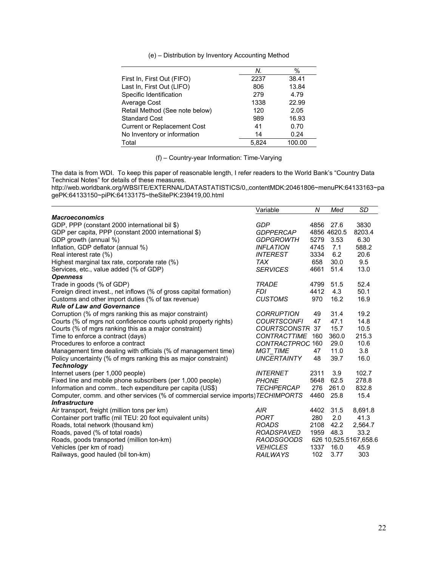|                                    | N.    | %      |
|------------------------------------|-------|--------|
| First In, First Out (FIFO)         | 2237  | 38.41  |
| Last In, First Out (LIFO)          | 806   | 13.84  |
| Specific Identification            | 279   | 4.79   |
| Average Cost                       | 1338  | 22.99  |
| Retail Method (See note below)     | 120   | 2.05   |
| <b>Standard Cost</b>               | 989   | 16.93  |
| <b>Current or Replacement Cost</b> | 41    | 0.70   |
| No Inventory or information        | 14    | 0.24   |
| Total                              | 5.824 | 100.00 |

(f) – Country-year Information: Time-Varying

The data is from WDI. To keep this paper of reasonable length, I refer readers to the World Bank's "Country Data Technical Notes" for details of these measures.

http://web.worldbank.org/WBSITE/EXTERNAL/DATASTATISTICS/0,,contentMDK:20461806~menuPK:64133163~pa gePK:64133150~piPK:64133175~theSitePK:239419,00.html

|                                                                                  | Variable            | N    | Med         | <b>SD</b>             |
|----------------------------------------------------------------------------------|---------------------|------|-------------|-----------------------|
| <b>Macroeconomics</b>                                                            |                     |      |             |                       |
| GDP, PPP (constant 2000 international bil \$)                                    | <b>GDP</b>          | 4856 | 27.6        | 3830                  |
| GDP per capita, PPP (constant 2000 international \$)                             | <b>GDPPERCAP</b>    |      | 4856 4620.5 | 8203.4                |
| GDP growth (annual %)                                                            | <b>GDPGROWTH</b>    | 5279 | 3.53        | 6.30                  |
| Inflation, GDP deflator (annual %)                                               | <b>INFLATION</b>    | 4745 | 7.1         | 588.2                 |
| Real interest rate (%)                                                           | <b>INTEREST</b>     | 3334 | 6.2         | 20.6                  |
| Highest marginal tax rate, corporate rate (%)                                    | <b>TAX</b>          | 658  | 30.0        | 9.5                   |
| Services, etc., value added (% of GDP)                                           | <b>SERVICES</b>     | 4661 | 51.4        | 13.0                  |
| <b>Openness</b>                                                                  |                     |      |             |                       |
| Trade in goods (% of GDP)                                                        | <b>TRADE</b>        | 4799 | 51.5        | 52.4                  |
| Foreign direct invest., net inflows (% of gross capital formation)               | FDI.                | 4412 | 4.3         | 50.1                  |
| Customs and other import duties (% of tax revenue)                               | <b>CUSTOMS</b>      | 970  | 16.2        | 16.9                  |
| <b>Rule of Law and Governance</b>                                                |                     |      |             |                       |
| Corruption (% of mgrs ranking this as major constraint)                          | <b>CORRUPTION</b>   | 49   | 31.4        | 19.2                  |
| Courts (% of mgrs not confidence courts uphold property rights)                  | <b>COURTSCONFI</b>  | 47   | 47.1        | 14.8                  |
| Courts (% of mgrs ranking this as a major constraint)                            | <b>COURTSCONSTR</b> | 37   | 15.7        | 10.5                  |
| Time to enforce a contract (days)                                                | <b>CONTRACTTIME</b> | 160  | 360.0       | 215.3                 |
| Procedures to enforce a contract                                                 | CONTRACTPROC 160    |      | 29.0        | 10.6                  |
| Management time dealing with officials (% of management time)                    | <b>MGT_TIME</b>     | 47   | 11.0        | 3.8                   |
| Policy uncertainty (% of mgrs ranking this as major constraint)                  | <b>UNCERTAINTY</b>  | 48   | 39.7        | 16.0                  |
| <b>Technology</b>                                                                |                     |      |             |                       |
| Internet users (per 1,000 people)                                                | <b>INTERNET</b>     | 2311 | 3.9         | 102.7                 |
| Fixed line and mobile phone subscribers (per 1,000 people)                       | <b>PHONE</b>        | 5648 | 62.5        | 278.8                 |
| Information and comm tech expenditure per capita (US\$)                          | <b>TECHPERCAP</b>   | 276  | 261.0       | 832.8                 |
| Computer, comm. and other services (% of commercial service imports) TECHIMPORTS |                     | 4460 | 25.8        | 15.4                  |
| <b>Infrastructure</b>                                                            |                     |      |             |                       |
| Air transport, freight (million tons per km)                                     | <b>AIR</b>          | 4402 | 31.5        | 8,691.8               |
| Container port traffic (mil TEU: 20 foot equivalent units)                       | <b>PORT</b>         | 280  | 2.0         | 41.3                  |
| Roads, total network (thousand km)                                               | <b>ROADS</b>        | 2108 | 42.2        | 2,564.7               |
| Roads, paved (% of total roads)                                                  | <b>ROADSPAVED</b>   | 1959 | 48.3        | 33.2                  |
| Roads, goods transported (million ton-km)                                        | RAODSGOODS          |      |             | 626 10,525.5167,658.6 |
| Vehicles (per km of road)                                                        | <b>VEHICLES</b>     | 1337 | 16.0        | 45.9                  |
| Railways, good hauled (bil ton-km)                                               | RAILWAYS            | 102  | 3.77        | 303                   |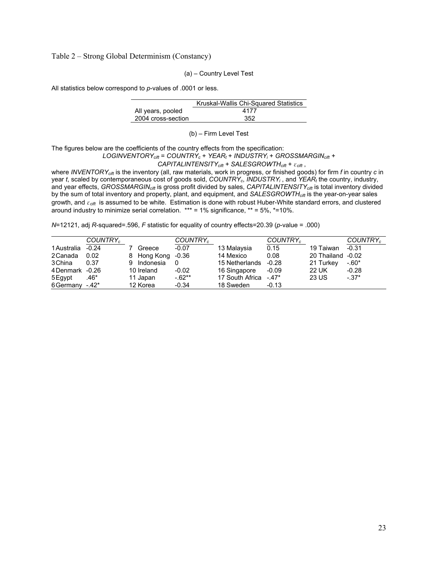Table 2 – Strong Global Determinism (Constancy)

(a) – Country Level Test

All statistics below correspond to *p*-values of .0001 or less.

|                    | Kruskal-Wallis Chi-Squared Statistics |
|--------------------|---------------------------------------|
| All years, pooled  | 4177                                  |
| 2004 cross-section | 352                                   |
|                    |                                       |

(b) – Firm Level Test

The figures below are the coefficients of the country effects from the specification:

#### *LOGINVENTORYcift* = *COUNTRYc* + *YEARt* + *INDUSTRYi* + *GROSSMARGINcift +*

 *CAPITALINTENSITYcift + SALESGROWTHcift* + *εcift* ,

where *INVENTORYcift* is the inventory (all, raw materials, work in progress, or finished goods) for firm *f* in country *c* in year *t*, scaled by contemporaneous cost of goods sold, *COUNTRYc*, *INDUSTRYi* , and *YEARt* the country, industry, and year effects, *GROSSMARGINcift* is gross profit divided by sales, *CAPITALINTENSITYcift* is total inventory divided by the sum of total inventory and property, plant, and equipment, and *SALESGROWTHcift* is the year-on-year sales growth, and *εcift* is assumed to be white. Estimation is done with robust Huber-White standard errors, and clustered around industry to minimize serial correlation.  $*** = 1\%$  significance,  $** = 5\%$ ,  $*=10\%$ .

*N*=12121, adj *R*-squared=.596, *F* statistic for equality of country effects=20.39 (*p*-value = .000)

|                | COUNTRY <sub>c</sub> |                | COUNTRY <sub>c</sub> |                       | COUNTRY <sub>c</sub> |                   | COUNTRY <sub>c</sub> |
|----------------|----------------------|----------------|----------------------|-----------------------|----------------------|-------------------|----------------------|
| 1 Australia    | $-0.24$              | Greece         | $-0.07$              | 13 Malaysia           | 0.15                 | 19 Taiwan         | $-0.31$              |
| 2 Canada       | 0.02                 | 8 Hong Kong    | -0.36                | 14 Mexico             | 0.08                 | 20 Thailand -0.02 |                      |
| 3 China        | 0.37                 | Indonesia<br>9 | 0                    | 15 Netherlands        | $-0.28$              | 21 Turkey         | $-.60*$              |
| 4Denmark -0.26 |                      | 10 Ireland     | $-0.02$              | 16 Singapore          | $-0.09$              | <b>22 UK</b>      | $-0.28$              |
| 5 Egypt        | .46*                 | 11 Japan       | $-62**$              | 17 South Africa -.47* |                      | 23 US             | $-37*$               |
| 6 Germany      | $-.42*$              | 12 Korea       | $-0.34$              | 18 Sweden             | $-0.13$              |                   |                      |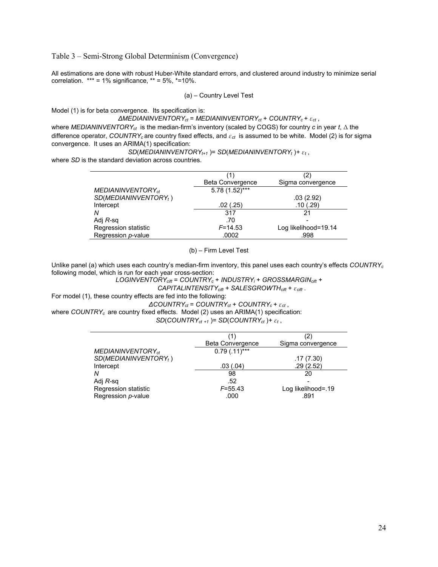Table 3 – Semi-Strong Global Determinism (Convergence)

All estimations are done with robust Huber-White standard errors, and clustered around industry to minimize serial correlation.  $*** = 1\%$  significance,  $** = 5\%$ ,  $*=10\%$ .

$$
(a) - Country Level Test
$$

Model (1) is for beta convergence. Its specification is:

#### *∆MEDIANINVENTORYct* = *MEDIANINVENTORYct* + *COUNTRYc + εct* ,

where *MEDIANINVENTORYct* is the median-firm's inventory (scaled by COGS) for country *c* in year *t*, Δ the difference operator, *COUNTRYc* are country fixed effects, and *εct* is assumed to be white. Model (2) is for sigma convergence. It uses an ARIMA(1) specification:

*SD*(*MEDIANINVENTORY*<sub> $t+1$ </sub>)= *SD*(*MEDIANINVENTORY*<sub>t</sub>)+  $\varepsilon$ <sub>t</sub>,

where *SD* is the standard deviation across countries.

|                                   | (1)              | (2)                  |
|-----------------------------------|------------------|----------------------|
|                                   | Beta Convergence | Sigma convergence    |
| MEDIANINVENTORY <sub>ct</sub>     | 5.78 (1.52)***   |                      |
| SD(MEDIANINVENTORY <sub>t</sub> ) |                  | .03(2.92)            |
| Intercept                         | .02(0.25)        | .10(0.29)            |
| N                                 | 317              | 21                   |
| Adj <i>R</i> -sq                  | .70              |                      |
| Regression statistic              | $F = 14.53$      | Log likelihood=19.14 |
| Regression p-value                | .0002            | .998                 |

(b) – Firm Level Test

Unlike panel (a) which uses each country's median-firm inventory, this panel uses each country's effects *COUNTRY<sup>c</sup>* following model, which is run for each year cross-section:

*LOGINVENTORYcift* = *COUNTRYc* + *INDUSTRYi* + *GROSSMARGINcift + CAPITALINTENSITYcift + SALESGROWTHcift* + *εcift* .

For model (1), these country effects are fed into the following:

*∆COUNTRYct* = *COUNTRYct* + *COUNTRYc + εct* ,

where *COUNTRYc* are country fixed effects. Model (2) uses an ARIMA(1) specification: *SD*(*COUNTRYct +1* )= *SD*(*COUNTRYct* )*+ εt* ,

|                                   | <b>Beta Convergence</b> | Sigma convergence  |
|-----------------------------------|-------------------------|--------------------|
| $MEDIANINVENTORY_{ct}$            | $0.79$ $(.11)***$       |                    |
| SD(MEDIANINVENTORY <sub>t</sub> ) |                         | .17(7.30)          |
| Intercept                         | .03(0.04)               | .29(2.52)          |
| Ν                                 | 98                      | 20                 |
| Adj $R$ -sq                       | .52                     |                    |
| Regression statistic              | $F = 55.43$             | Log likelihood=.19 |
| Regression p-value                | .000                    | .891               |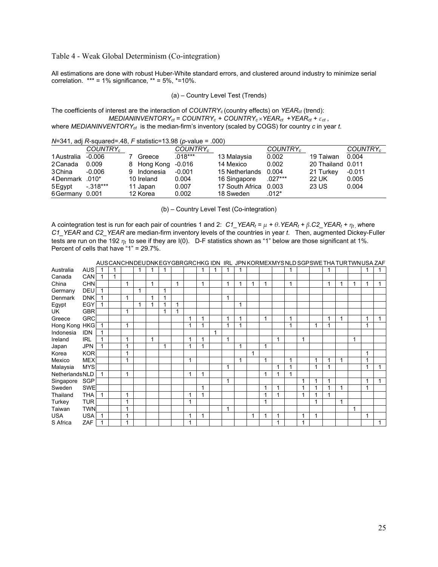#### Table 4 - Weak Global Determinism (Co-integration)

All estimations are done with robust Huber-White standard errors, and clustered around industry to minimize serial correlation.  $*** = 1\%$  significance,  $** = 5\%$ ,  $*=10\%$ .

(a) – Country Level Test (Trends)

The coefficients of interest are the interaction of *COUNTRY<sup>c</sup>* (country effects) on *YEARct* (trend): *MEDIANINVENTORY*<sub>ct</sub> =  $COUNTRY_c$  +  $COUNTRY_c \times YEAR_{ct}$  +  $YEAR_{ct}$  +  $\varepsilon_{ct}$ ,

where *MEDIANINVENTORYct* is the median-firm's inventory (scaled by COGS) for country *c* in year *t*.

|                |                      |             | $19 - 0 + 1$ , au $19 - 00$ and $0 - 0 - 0$ and $0 - 0$ and $0 - 0$ and $0 - 0$ and $0 - 0$ |                 |                      |                   |                      |
|----------------|----------------------|-------------|---------------------------------------------------------------------------------------------|-----------------|----------------------|-------------------|----------------------|
|                | COUNTRY <sub>c</sub> |             | COUNTRY <sub>c</sub>                                                                        |                 | COUNTRY <sub>c</sub> |                   | COUNTRY <sub>c</sub> |
| 1 Australia    | -0.006               | Greece      | $.018***$                                                                                   | 13 Malaysia     | 0.002                | 19 Taiwan         | 0.004                |
| 2 Canada       | 0.009                | 8 Hong Kong | $-0.016$                                                                                    | 14 Mexico       | 0.002                | 20 Thailand 0.011 |                      |
| 3 China        | $-0.006$             | 9 Indonesia | $-0.001$                                                                                    | 15 Netherlands  | 0.004                | 21 Turkey         | $-0.011$             |
| 4Denmark .010* |                      | 10 Ireland  | 0.004                                                                                       | 16 Singapore    | $.027***$            | 22 UK             | 0.005                |
| 5 Eqypt        | $-.318***$           | 11 Japan    | 0.007                                                                                       | 17 South Africa | 0.003                | 23 US             | 0.004                |
| 6Germany 0.001 |                      | 12 Korea    | 0.002                                                                                       | 18 Sweden       | .012*                |                   |                      |
|                |                      |             |                                                                                             |                 |                      |                   |                      |

 $N=341$ , adj  $R$ -squared=.48,  $F$  statistic=13.98 (*p*-value = .000).

(b) – Country Level Test (Co-integration)

A cointegration test is run for each pair of countries 1 and 2:  $C1_YEAR_t = \mu + \theta_YEAR_t + \beta_C2_YEAR_t + \eta_t$ , where *C1\_YEAR* and *C2\_YEAR* are median-firm inventory levels of the countries in year *t*. Then, augmented Dickey-Fuller tests are run on the 192 *ηt* to see if they are I(0). D-F statistics shown as "1" below are those significant at 1%. Percent of cells that have "1" = 29.7%.

|                |            |   |   |   |                |   |   |   |   |   |                         |                         |                         |   |   |   |              | AUSCANCHNDEUDNKEGYGBRGRCHKG IDN IRL JPN KORMEXMYSNLD SGPSWETHA TURTWNUSA ZAF |                         |   |   |   |  |
|----------------|------------|---|---|---|----------------|---|---|---|---|---|-------------------------|-------------------------|-------------------------|---|---|---|--------------|------------------------------------------------------------------------------|-------------------------|---|---|---|--|
| Australia      | <b>AUS</b> |   |   |   |                |   |   |   |   |   |                         |                         |                         |   |   |   |              |                                                                              |                         |   |   |   |  |
| Canada         | CAN        | 1 |   |   |                |   |   |   |   |   |                         |                         |                         |   |   |   |              |                                                                              |                         |   |   |   |  |
| China          | <b>CHN</b> |   | 1 |   | 1              |   | 1 |   | 1 |   | 4                       | 1                       |                         | 1 |   | 1 |              |                                                                              | 1                       | 1 | 1 | 1 |  |
| Germany        | <b>DEU</b> |   |   | 1 |                | и |   |   |   |   |                         |                         |                         |   |   |   |              |                                                                              |                         |   |   |   |  |
| Denmark        | <b>DNK</b> |   | 1 |   | 4              |   |   |   |   |   |                         |                         |                         |   |   |   |              |                                                                              |                         |   |   |   |  |
| Egypt          | EGY        |   |   | 1 | 4              | и | 1 |   |   |   |                         | и                       |                         |   |   |   |              |                                                                              |                         |   |   |   |  |
| UK             | <b>GBR</b> |   | 1 |   |                | 4 | 1 |   |   |   |                         |                         |                         |   |   |   |              |                                                                              |                         |   |   |   |  |
| Greece         | <b>GRC</b> |   |   |   |                |   |   | 1 | 4 |   | $\overline{\mathbf{A}}$ | $\overline{\mathbf{A}}$ |                         | 1 |   | 1 |              |                                                                              | 1                       | 1 |   | 1 |  |
| Hong Kong HKG  |            |   | 1 |   |                |   |   | 1 | 4 |   | 4                       | 1                       |                         |   |   | 1 |              | 1                                                                            | 1                       |   |   | 1 |  |
| Indonesia      | <b>IDN</b> |   |   |   |                |   |   |   |   | 1 |                         |                         |                         |   |   |   |              |                                                                              |                         |   |   |   |  |
| Ireland        | <b>IRL</b> |   | 1 |   | $\overline{1}$ |   |   | 1 | 4 |   |                         |                         |                         |   | 1 |   | 1            |                                                                              |                         |   | 1 |   |  |
| Japan          | <b>JPN</b> |   | 1 |   |                | и |   | 1 |   |   |                         | 1                       |                         | 1 |   |   |              |                                                                              |                         |   |   |   |  |
| Korea          | <b>KOR</b> |   | 1 |   |                |   |   |   |   |   |                         |                         | $\overline{\mathbf{A}}$ |   |   |   |              |                                                                              |                         |   |   | 1 |  |
| Mexico         | <b>MEX</b> |   | 1 |   |                |   |   | 1 |   |   |                         | 1                       |                         | 1 |   | 1 |              | 1                                                                            | 1                       |   |   | 1 |  |
| Malaysia       | <b>MYS</b> |   |   |   |                |   |   |   |   |   |                         |                         |                         |   | 1 | 1 |              | 1                                                                            | 1                       |   |   | 1 |  |
| NetherlandsNLD |            |   | 1 |   |                |   |   | 1 | 4 |   |                         |                         |                         | 1 | 1 | 4 |              |                                                                              |                         |   |   |   |  |
| Singapore      | <b>SGP</b> |   |   |   |                |   |   |   |   |   | $\overline{\mathbf{A}}$ |                         |                         |   |   |   | 1            | 4                                                                            | 1                       |   |   | 1 |  |
| Sweden         | <b>SWE</b> |   |   |   |                |   |   |   | 1 |   |                         |                         |                         | 1 | 1 |   | $\mathbf{1}$ |                                                                              |                         | 1 |   | 1 |  |
| Thailand       | <b>THA</b> |   | 1 |   |                |   |   | 1 | 4 |   |                         |                         |                         | 1 | 1 |   | 1            |                                                                              | $\overline{\mathbf{A}}$ |   |   |   |  |
| Turkey         | <b>TUR</b> |   | 1 |   |                |   |   | 1 |   |   |                         |                         |                         | 1 |   |   |              | 1                                                                            |                         | 1 |   |   |  |
| Taiwan         | <b>TWN</b> |   | 1 |   |                |   |   |   |   |   |                         |                         |                         |   |   |   |              |                                                                              |                         |   | 1 |   |  |
| <b>USA</b>     | <b>USA</b> |   | 1 |   |                |   |   | 1 | 1 |   |                         |                         | 1                       | 1 | 1 |   | 1            | 1                                                                            |                         |   |   | 1 |  |
| S Africa       | ZAF        |   | 1 |   |                |   |   |   |   |   |                         |                         |                         |   | 1 |   | 1            |                                                                              |                         |   |   |   |  |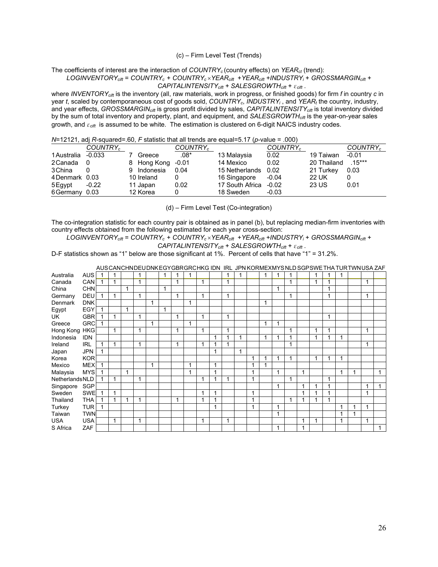#### (c) – Firm Level Test (Trends)

The coefficients of interest are the interaction of *COUNTRY<sup>c</sup>* (country effects) on *YEARct* (trend):

#### *LOGINVENTORYcift* = *COUNTRY<sup>c</sup>* + *COUNTRY<sup>c</sup>* ×*YEARcift* +*YEARcift +INDUSTRYi* + *GROSSMARGINcift + CAPITALINTENSITYcift + SALESGROWTHcift* + *εcift* .

where *INVENTORYcift* is the inventory (all, raw materials, work in progress, or finished goods) for firm *f* in country *c* in year *t*, scaled by contemporaneous cost of goods sold, *COUNTRYc*, *INDUSTRYi* , and *YEARt* the country, industry, and year effects, *GROSSMARGINcift* is gross profit divided by sales, *CAPITALINTENSITYcift* is total inventory divided by the sum of total inventory and property, plant, and equipment, and *SALESGROWTHcift* is the year-on-year sales growth, and *εcift* is assumed to be white. The estimation is clustered on 6-digit NAICS industry codes.

*N*=12121, adj *R*-squared=.60, *F* statistic that all trends are equal=5.17 (*p*-value = .000)

|                | COUNTRY <sub>c</sub> |                 | COUNTRY <sub>c</sub> |                 | COUNTRY <sub>c</sub> |              | COUNTRY <sub>c</sub> |
|----------------|----------------------|-----------------|----------------------|-----------------|----------------------|--------------|----------------------|
| 1 Australia    | $-0.033$             | Greece          | $.08^*$              | 13 Malaysia     | 0.02                 | 19 Taiwan    | $-0.01$              |
| 2 Canada       | 0                    | 8 Hong Kong     | $-0.01$              | 14 Mexico       | 0.02                 | 20 Thailand  | $.15***$             |
| 3 China        | 0                    | Indonesia<br>9. | 0.04                 | 15 Netherlands  | 0.02                 | 21 Turkey    | 0.03                 |
| 4 Denmark 0.03 |                      | 10 Ireland      |                      | 16 Singapore    | $-0.04$              | 22 UK        |                      |
| 5 Egypt        | $-0.22$              | 11 Japan        | 0.02                 | 17 South Africa | $-0.02$              | <b>23 US</b> | 0.01                 |
| 6Germany 0.03  |                      | 12 Korea        | 0                    | 18 Sweden       | $-0.03$              |              |                      |

(d) – Firm Level Test (Co-integration)

The co-integration statistic for each country pair is obtained as in panel (b), but replacing median-firm inventories with country effects obtained from the following estimated for each year cross-section:

*LOGINVENTORYcift* = *COUNTRY<sup>c</sup>* + *COUNTRY<sup>c</sup>* ×*YEARcift* +*YEARcift +INDUSTRYi* + *GROSSMARGINcift +* 

$$
CAPITALINTENSITYcift + SALESGROWTHcift + \varepsiloncift.
$$

D-F statistics shown as "1" below are those significant at 1%. Percent of cells that have "1" = 31.2%.

|                |            |   |   |   |   |   |   |             |   |    |   |   |                |   |   |   |   | AUSCANCHNDEUDNKEGYGBRGRCHKG IDN IRL JPN KORMEXMYSNLD SGPSWETHA TURTWNUSA ZAF |   |   |   |   |  |
|----------------|------------|---|---|---|---|---|---|-------------|---|----|---|---|----------------|---|---|---|---|------------------------------------------------------------------------------|---|---|---|---|--|
| Australia      | <b>AUS</b> |   | 1 |   |   |   | 1 |             |   |    | 1 | 1 |                |   |   |   |   | 1                                                                            | 1 |   |   |   |  |
| Canada         | <b>CAN</b> |   | 1 |   | 4 |   | 1 |             |   |    | 1 |   |                |   |   |   |   | 1                                                                            | 4 |   |   | 1 |  |
| China          | <b>CHN</b> |   |   | 1 |   |   |   |             |   |    |   |   |                |   | 1 |   |   |                                                                              | 1 |   |   |   |  |
| Germany        | DEU        |   | 1 |   | 1 |   | 1 |             |   |    | 1 |   |                |   |   |   |   |                                                                              | 1 |   |   | 1 |  |
| Denmark        | <b>DNK</b> |   |   |   |   | 1 |   | 1           |   |    |   |   |                | 1 |   |   |   |                                                                              |   |   |   |   |  |
| Egypt          | EGY        |   |   | 1 |   |   |   |             |   |    |   |   |                |   |   |   |   |                                                                              |   |   |   |   |  |
| UK             | <b>GBR</b> |   | 1 |   | 1 |   | 1 |             | 1 |    | 1 |   |                |   |   |   |   |                                                                              | 1 |   |   |   |  |
| Greece         | <b>GRC</b> | 1 |   |   |   | 1 |   | $\mathbf 1$ |   |    |   |   |                | 1 | 1 |   |   |                                                                              |   |   |   |   |  |
| Hong Kong HKG  |            |   | 1 |   | 1 |   | 1 |             | 1 |    | 1 |   |                |   |   |   |   | 1                                                                            | 1 |   |   | 1 |  |
| Indonesia      | <b>IDN</b> |   |   |   |   |   |   |             |   |    |   | 1 |                | 1 |   |   |   |                                                                              |   | 4 |   |   |  |
| Ireland        | <b>IRL</b> |   | 1 |   | 1 |   | 1 |             |   |    | и |   |                |   |   |   |   |                                                                              |   |   |   | 1 |  |
| Japan          | <b>JPN</b> |   |   |   |   |   |   |             |   |    |   | 1 |                |   |   |   |   |                                                                              |   |   |   |   |  |
| Korea          | <b>KOR</b> |   |   |   |   |   |   |             |   |    |   |   | 1              |   | 1 | ٠ |   | 1                                                                            | 1 | 1 |   |   |  |
| Mexico         | <b>MEX</b> |   |   |   |   | 1 |   | 1           |   | 1  |   |   | 1              |   |   |   |   |                                                                              |   |   |   |   |  |
| Malaysia       | <b>MYS</b> |   |   | 1 |   |   |   | 1           |   | -1 |   |   | $\overline{ }$ |   | 1 |   | 1 |                                                                              |   | 1 | 1 |   |  |
| NetherlandsNLD |            |   | 1 |   | 1 |   |   |             |   |    | 1 |   | 1              |   |   |   |   |                                                                              | 1 |   |   |   |  |
| Singapore      | <b>SGP</b> |   |   |   |   |   |   |             |   |    |   |   |                |   | 1 |   | 1 | 1                                                                            | 1 |   |   | 1 |  |
| Sweden         | <b>SWE</b> |   | 1 |   |   |   |   |             |   |    |   |   | 1              |   |   |   | 1 | -1                                                                           | ◢ |   |   | 1 |  |
| Thailand       | <b>THA</b> |   | 1 | 4 |   |   | 1 |             | 1 |    |   |   | $\overline{ }$ |   |   |   | 1 |                                                                              | 1 |   |   |   |  |
| Turkey         | <b>TUR</b> |   |   |   |   |   |   |             |   |    |   |   | 1              |   | 1 |   |   |                                                                              |   | 1 |   | 1 |  |
| Taiwan         | <b>TWN</b> |   |   |   |   |   |   |             |   |    |   |   |                |   |   |   |   |                                                                              |   | 1 |   |   |  |
| <b>USA</b>     | <b>USA</b> |   | 1 |   | 1 |   |   |             | 1 |    | 1 |   |                |   |   |   | 1 | 1                                                                            |   | 1 |   | 1 |  |
| S Africa       | ZAF        |   |   |   |   |   |   |             |   |    |   |   |                |   | 1 |   | 1 |                                                                              |   |   |   |   |  |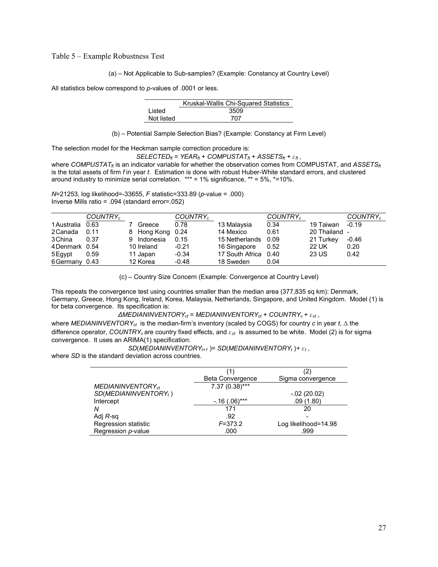Table 5 – Example Robustness Test

(a) – Not Applicable to Sub-samples? (Example: Constancy at Country Level)

All statistics below correspond to *p*-values of .0001 or less.

|            | Kruskal-Wallis Chi-Squared Statistics |
|------------|---------------------------------------|
| Listed     | 3509                                  |
| Not listed | 707                                   |

(b) – Potential Sample Selection Bias? (Example: Constancy at Firm Level)

The selection model for the Heckman sample correction procedure is:

 $SELECTED<sub>f</sub> = YEAR<sub>f</sub> + COMPUSTAT<sub>f</sub> + ASSETS<sub>f</sub> +  $\varepsilon_f$$ ,

where *COMPUSTAT<sub>ft</sub>* is an indicator variable for whether the observation comes from COMPUSTAT, and *ASSETS<sub>ft</sub>* is the total assets of firm *f* in year *t*. Estimation is done with robust Huber-White standard errors, and clustered around industry to minimize serial correlation.  $*** = 1\%$  significance,  $** = 5\%$ ,  $*=10\%$ .

*N*=21253, log likelihood=-33655, *F* statistic=333.89 (*p*-value = .000) Inverse Mills ratio = .094 (standard error=.052)

|                  | COUNTRY <sub>c</sub> |            |                  | COUNTRY <sub>c</sub> |                 | COUNTRY <sub>c</sub> |               | COUNTRY <sub>c</sub> |
|------------------|----------------------|------------|------------------|----------------------|-----------------|----------------------|---------------|----------------------|
| 1 Australia 0.63 |                      | Greece     |                  | 0.78                 | 13 Malaysia     | 0.34                 | 19 Taiwan     | $-0.19$              |
| 2 Canada         | 0.11                 |            | 8 Hong Kong 0.24 |                      | 14 Mexico       | 0.61                 | 20 Thailand - |                      |
| 3 China          | 0.37                 | 9          | Indonesia        | 0.15                 | 15 Netherlands  | 0.09                 | 21 Turkey     | $-0.46$              |
| 4 Denmark 0.54   |                      | 10 Ireland |                  | $-0.21$              | 16 Singapore    | 0.52                 | <b>22 UK</b>  | 0.20                 |
| 5 Egypt          | 0.59                 | 11 Japan   |                  | $-0.34$              | 17 South Africa | 0.40                 | 23 US         | 0.42                 |
| 6Germany 0.43    |                      | 12 Korea   |                  | $-0.48$              | 18 Sweden       | 0.04                 |               |                      |

(c) – Country Size Concern (Example: Convergence at Country Level)

This repeats the convergence test using countries smaller than the median area (377,835 sq km): Denmark, Germany, Greece, Hong Kong, Ireland, Korea, Malaysia, Netherlands, Singapore, and United Kingdom. Model (1) is for beta convergence. Its specification is:

*∆MEDIANINVENTORYct* = *MEDIANINVENTORYct* + *COUNTRYc + εct* , where *MEDIANINVENTORYct* is the median-firm's inventory (scaled by COGS) for country *c* in year *t*, Δ the difference operator, *COUNTRYc* are country fixed effects, and *εct* is assumed to be white. Model (2) is for sigma convergence. It uses an ARIMA(1) specification:

*SD*(*MEDIANINVENTORY*<sub>*t+1</sub>* )= *SD*(*MEDIANINVENTORY*<sub>*t*</sub> )+  $\varepsilon$ *t*,</sub>

where *SD* is the standard deviation across countries.

|                                   | (1)              | (2)                  |
|-----------------------------------|------------------|----------------------|
|                                   | Beta Convergence | Sigma convergence    |
| MEDIANINVENTORY <sub>ct</sub>     | $7.37(0.38)***$  |                      |
| SD(MEDIANINVENTORY <sub>t</sub> ) |                  | $-.02(20.02)$        |
| Intercept                         | $-.16(.06)***$   | .09(1.80)            |
| Ν                                 | 171              | 20                   |
| Adj R-sq                          | .92              |                      |
| Regression statistic              | $F = 373.2$      | Log likelihood=14.98 |
| Regression p-value                | .000             | .999                 |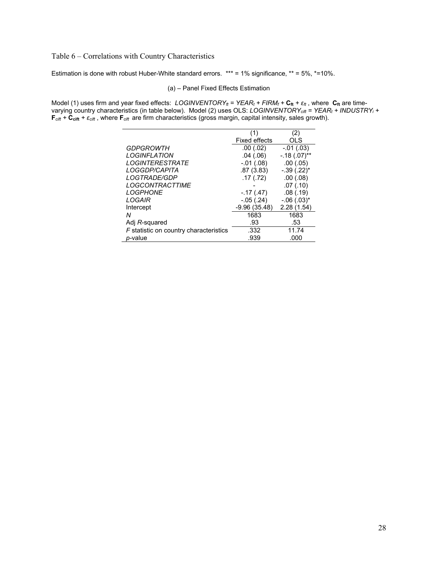Table 6 – Correlations with Country Characteristics

Estimation is done with robust Huber-White standard errors. \*\*\* = 1% significance, \*\* = 5%, \*=10%.

#### (a) – Panel Fixed Effects Estimation

Model (1) uses firm and year fixed effects: *LOGINVENTORY<sub>ft</sub>* = YEAR<sub>t</sub> + FIRM<sub>f</sub> + C<sub>ft</sub> +  $\varepsilon$ <sub>ft</sub>, where C<sub>ft</sub> are timevarying country characteristics (in table below). Model (2) uses OLS: *LOGINVENTORYcift = YEARt + INDUSTRYi +*   $F_{\text{cift}} + \tilde{C}_{\text{cift}} + \varepsilon_{\text{cift}}$ , where  $F_{\text{cift}}$  are firm characteristics (gross margin, capital intensity, sales growth).

|                                        | (1)              | (2)            |
|----------------------------------------|------------------|----------------|
|                                        | Fixed effects    | OLS            |
| GDPGROWTH                              | .00(.02)         | $-01(03)$      |
| <b>LOGINFLATION</b>                    | .04(06)          | $-.18(.07)$ ** |
| <b>LOGINTERESTRATE</b>                 | $-0.01$ $(0.08)$ | .00(0.05)      |
| LOGGDP/CAPITA                          | .87(3.83)        | $-.39(.22)^*$  |
| LOGTRADE/GDP                           | .17(0.72)        | .00(0.08)      |
| <b>LOGCONTRACTTIME</b>                 |                  | .07(0.10)      |
| <b>LOGPHONE</b>                        | $-17(0.47)$      | .08(0.19)      |
| LOGAIR                                 | $-.05(.24)$      | $-.06(.03)$ *  |
| Intercept                              | $-9.96(35.48)$   | 2.28(1.54)     |
| Ν                                      | 1683             | 1683           |
| Adj R-squared                          | .93              | .53            |
| F statistic on country characteristics | .332             | 11.74          |
| <i>p</i> -value                        | .939             | .000           |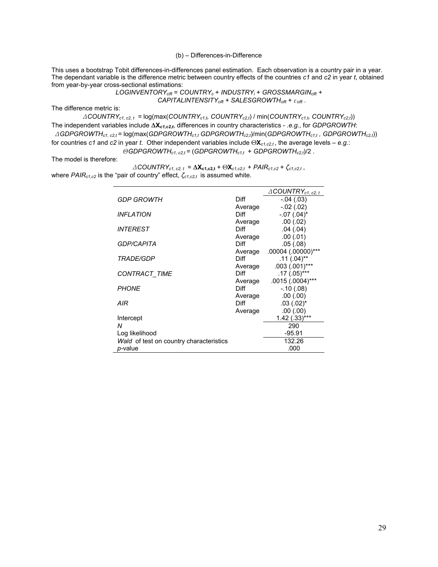#### (b) – Differences-in-Difference

This uses a bootstrap Tobit differences-in-differences panel estimation. Each observation is a country pair in a year. The dependant variable is the difference metric between country effects of the countries *c1* and *c2* in year *t*, obtained from year-by-year cross-sectional estimations:

> *LOGINVENTORYcift* = *COUNTRYc* + *INDUSTRYi* + *GROSSMARGINcift + CAPITALINTENSITYcift + SALESGROWTHcift* + *εcift* .

The difference metric is:

*ΔCOUNTRYc1, c2, t =* log(max(*COUNTRYc1,t, COUNTRYc2,t*) / min(*COUNTRYc1,t, COUNTRYc2,t*)) The independent variables include **ΔX***c1,c2,t*, differences in country characteristics - *.e.g*., for *GDPGROWTH*:  *ΔGDPGROWTHc1, c2,t =* log(max(*GDPGROWTHc1,t GDPGROWTHc2,t*)/min(*GDPGROWTHc1,t , GDPGROWTHc2,t*)) for countries *c1* and *c2* in year *t*. Other independent variables include Θ**X***c1,c2,t* , the average levels – *e.g.*:

*ΘGDPGROWTHc1, c2,t =* (*GDPGROWTHc1,t* + *GDPGROWTHc2,t*)/2 .

The model is therefore:

*ΔCOUNTRYc1, c2, t* = **ΔXc1,c2,t** + Θ**X***c1,c2,t* + *PAIRc1,c2* + *ζc1,c2,t* , where *PAIRc1,c2* is the "pair of country" effect, *ζc1,c2,t* is assumed white.

|                                         |                        | $\triangle$ COUNTRY <sub>c1, c2, t</sub> |
|-----------------------------------------|------------------------|------------------------------------------|
| GDP GROWTH                              | Diff                   | $-.04(.03)$                              |
|                                         | Average                | $-.02(.02)$                              |
| <b>INFLATION</b>                        | Diff                   | $-.07(.04)^*$                            |
|                                         | Average                | .00(.02)                                 |
| <b>INTEREST</b>                         | <b>Diff</b>            | .04(.04)                                 |
|                                         | Average                | .00(.01)                                 |
| <b>GDP/CAPITA</b>                       | Diff                   | .05(.08)                                 |
|                                         | Average                | .00004 (.00000)***                       |
| <i>TRADE/GDP</i>                        | Diff                   | $.11(.04)$ **                            |
|                                         | Average                | $.003$ $(.001)***$                       |
| <b>CONTRACT TIME</b>                    | <b>Diff</b>            | $.17(.05)$ ***                           |
| <b>PHONE</b>                            | Average<br>Diff        | .0015 (.0004)***                         |
|                                         |                        | $-.10(.08)$<br>.00(.00)                  |
| AIR                                     | Average<br><b>Diff</b> | $.03(.02)^*$                             |
|                                         | Average                | .00(.00)                                 |
| Intercept                               |                        | $1.42$ (.33)***                          |
| N                                       |                        | 290                                      |
| Log likelihood                          |                        | $-95.91$                                 |
| Wald of test on country characteristics |                        | 132.26                                   |
| <i>p</i> -value                         |                        | .000                                     |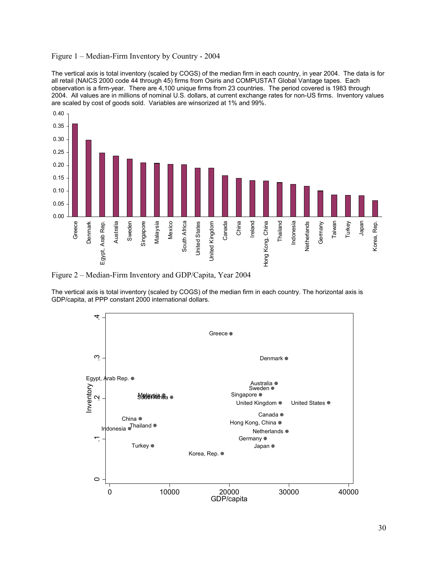#### Figure 1 – Median-Firm Inventory by Country - 2004

The vertical axis is total inventory (scaled by COGS) of the median firm in each country, in year 2004. The data is for all retail (NAICS 2000 code 44 through 45) firms from Osiris and COMPUSTAT Global Vantage tapes. Each observation is a firm-year. There are 4,100 unique firms from 23 countries. The period covered is 1983 through 2004. All values are in millions of nominal U.S. dollars, at current exchange rates for non-US firms. Inventory values are scaled by cost of goods sold. Variables are winsorized at 1% and 99%.



Figure 2 – Median-Firm Inventory and GDP/Capita, Year 2004

The vertical axis is total inventory (scaled by COGS) of the median firm in each country. The horizontal axis is GDP/capita, at PPP constant 2000 international dollars.